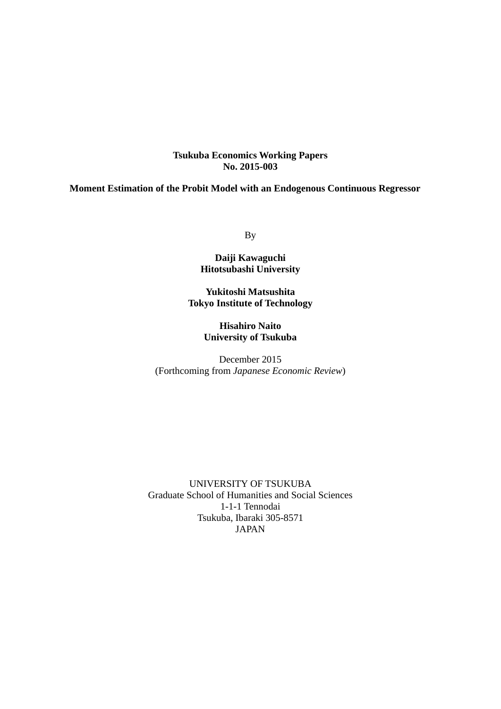### **Tsukuba Economics Working Papers No. 2015-003**

### **Moment Estimation of the Probit Model with an Endogenous Continuous Regressor**

By

### **Daiji Kawaguchi Hitotsubashi University**

**Yukitoshi Matsushita Tokyo Institute of Technology** 

> **Hisahiro Naito University of Tsukuba**

December 2015 (Forthcoming from *Japanese Economic Review*)

UNIVERSITY OF TSUKUBA Graduate School of Humanities and Social Sciences 1-1-1 Tennodai Tsukuba, Ibaraki 305-8571 JAPAN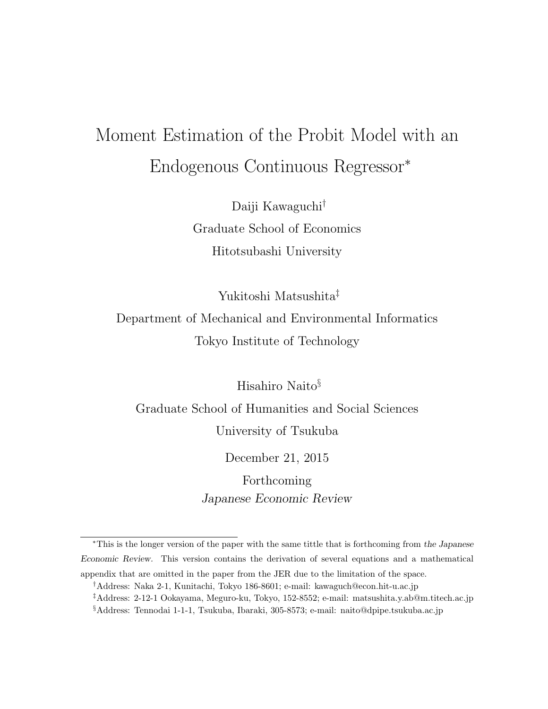# Moment Estimation of the Probit Model with an Endogenous Continuous Regressor<sup>∗</sup>

Daiji Kawaguchi† Graduate School of Economics Hitotsubashi University

Yukitoshi Matsushita‡

## Department of Mechanical and Environmental Informatics Tokyo Institute of Technology

Hisahiro Naito§

Graduate School of Humanities and Social Sciences University of Tsukuba

December 21, 2015

Forthcoming Japanese Economic Review

<sup>∗</sup>This is the longer version of the paper with the same tittle that is forthcoming from the Japanese Economic Review. This version contains the derivation of several equations and a mathematical appendix that are omitted in the paper from the JER due to the limitation of the space.

<sup>†</sup>Address: Naka 2-1, Kunitachi, Tokyo 186-8601; e-mail: kawaguch@econ.hit-u.ac.jp

<sup>‡</sup>Address: 2-12-1 Ookayama, Meguro-ku, Tokyo, 152-8552; e-mail: matsushita.y.ab@m.titech.ac.jp

<sup>§</sup>Address: Tennodai 1-1-1, Tsukuba, Ibaraki, 305-8573; e-mail: naito@dpipe.tsukuba.ac.jp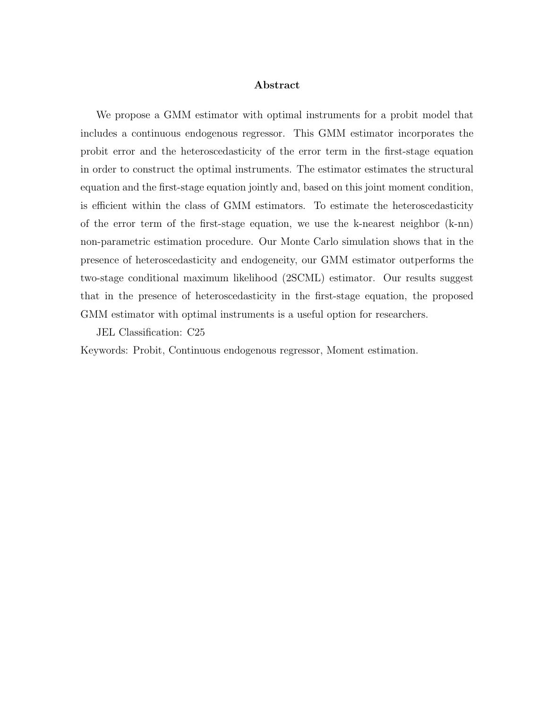### Abstract

We propose a GMM estimator with optimal instruments for a probit model that includes a continuous endogenous regressor. This GMM estimator incorporates the probit error and the heteroscedasticity of the error term in the first-stage equation in order to construct the optimal instruments. The estimator estimates the structural equation and the first-stage equation jointly and, based on this joint moment condition, is efficient within the class of GMM estimators. To estimate the heteroscedasticity of the error term of the first-stage equation, we use the k-nearest neighbor (k-nn) non-parametric estimation procedure. Our Monte Carlo simulation shows that in the presence of heteroscedasticity and endogeneity, our GMM estimator outperforms the two-stage conditional maximum likelihood (2SCML) estimator. Our results suggest that in the presence of heteroscedasticity in the first-stage equation, the proposed GMM estimator with optimal instruments is a useful option for researchers.

JEL Classification: C25

Keywords: Probit, Continuous endogenous regressor, Moment estimation.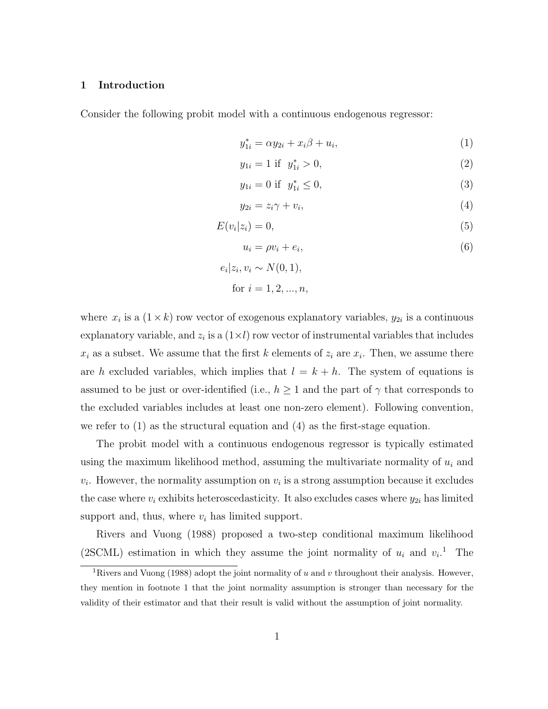#### 1 Introduction

Consider the following probit model with a continuous endogenous regressor:

 $\epsilon$ 

$$
y_{1i}^* = \alpha y_{2i} + x_i \beta + u_i,
$$
 (1)

$$
y_{1i} = 1 \text{ if } y_{1i}^* > 0,
$$
 (2)

$$
y_{1i} = 0 \text{ if } y_{1i}^* \le 0,
$$
 (3)

$$
y_{2i} = z_i \gamma + v_i, \tag{4}
$$

$$
E(v_i|z_i) = 0,\t\t(5)
$$

$$
u_i = \rho v_i + e_i,\tag{6}
$$

$$
i|z_i, v_i \sim N(0, 1),
$$
  
for  $i = 1, 2, ..., n$ ,

where  $x_i$  is a  $(1 \times k)$  row vector of exogenous explanatory variables,  $y_{2i}$  is a continuous explanatory variable, and  $z_i$  is a  $(1\times l)$  row vector of instrumental variables that includes  $x_i$  as a subset. We assume that the first k elements of  $z_i$  are  $x_i$ . Then, we assume there are h excluded variables, which implies that  $l = k + h$ . The system of equations is assumed to be just or over-identified (i.e.,  $h \geq 1$  and the part of  $\gamma$  that corresponds to the excluded variables includes at least one non-zero element). Following convention, we refer to  $(1)$  as the structural equation and  $(4)$  as the first-stage equation.

The probit model with a continuous endogenous regressor is typically estimated using the maximum likelihood method, assuming the multivariate normality of  $u_i$  and  $v_i$ . However, the normality assumption on  $v_i$  is a strong assumption because it excludes the case where  $v_i$  exhibits heteroscedasticity. It also excludes cases where  $y_{2i}$  has limited support and, thus, where  $v_i$  has limited support.

Rivers and Vuong (1988) proposed a two-step conditional maximum likelihood (2SCML) estimation in which they assume the joint normality of  $u_i$  and  $v_i$ .<sup>1</sup> The

<sup>&</sup>lt;sup>1</sup>Rivers and Vuong (1988) adopt the joint normality of u and v throughout their analysis. However, they mention in footnote 1 that the joint normality assumption is stronger than necessary for the validity of their estimator and that their result is valid without the assumption of joint normality.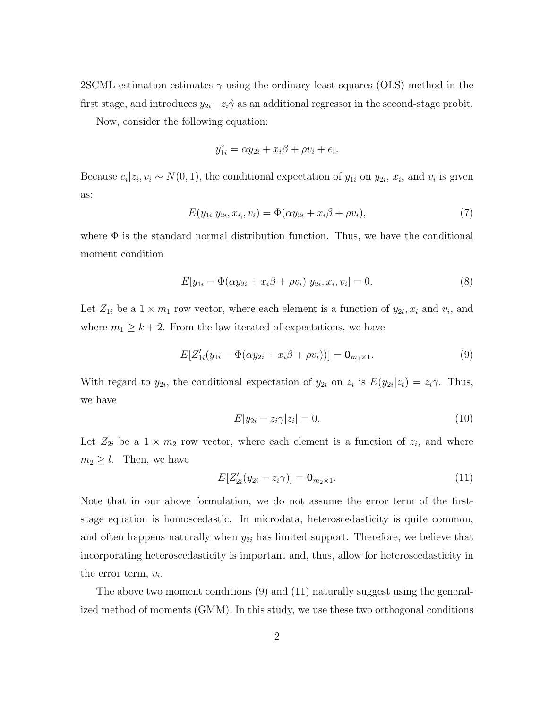2SCML estimation estimates  $\gamma$  using the ordinary least squares (OLS) method in the first stage, and introduces  $y_{2i}-z_i\hat{\gamma}$  as an additional regressor in the second-stage probit.

Now, consider the following equation:

$$
y_{1i}^* = \alpha y_{2i} + x_i \beta + \rho v_i + e_i
$$

Because  $e_i | z_i, v_i \sim N(0, 1)$ , the conditional expectation of  $y_{1i}$  on  $y_{2i}, x_i$ , and  $v_i$  is given as:

$$
E(y_{1i}|y_{2i}, x_{i_i}, v_i) = \Phi(\alpha y_{2i} + x_i \beta + \rho v_i),
$$
\n(7)

.

where  $\Phi$  is the standard normal distribution function. Thus, we have the conditional moment condition

$$
E[y_{1i} - \Phi(\alpha y_{2i} + x_i \beta + \rho v_i)|y_{2i}, x_i, v_i] = 0.
$$
\n(8)

Let  $Z_{1i}$  be a  $1 \times m_1$  row vector, where each element is a function of  $y_{2i}, x_i$  and  $v_i$ , and where  $m_1 \geq k+2$ . From the law iterated of expectations, we have

$$
E[Z'_{1i}(y_{1i} - \Phi(\alpha y_{2i} + x_i \beta + \rho v_i))] = \mathbf{0}_{m_1 \times 1}.
$$
\n(9)

With regard to  $y_{2i}$ , the conditional expectation of  $y_{2i}$  on  $z_i$  is  $E(y_{2i}|z_i) = z_i \gamma$ . Thus, we have

$$
E[y_{2i} - z_i \gamma | z_i] = 0. \tag{10}
$$

Let  $Z_{2i}$  be a  $1 \times m_2$  row vector, where each element is a function of  $z_i$ , and where  $m_2 \geq l$ . Then, we have

$$
E[Z'_{2i}(y_{2i} - z_i \gamma)] = \mathbf{0}_{m_2 \times 1}.
$$
\n(11)

Note that in our above formulation, we do not assume the error term of the firststage equation is homoscedastic. In microdata, heteroscedasticity is quite common, and often happens naturally when  $y_{2i}$  has limited support. Therefore, we believe that incorporating heteroscedasticity is important and, thus, allow for heteroscedasticity in the error term,  $v_i$ .

The above two moment conditions (9) and (11) naturally suggest using the generalized method of moments (GMM). In this study, we use these two orthogonal conditions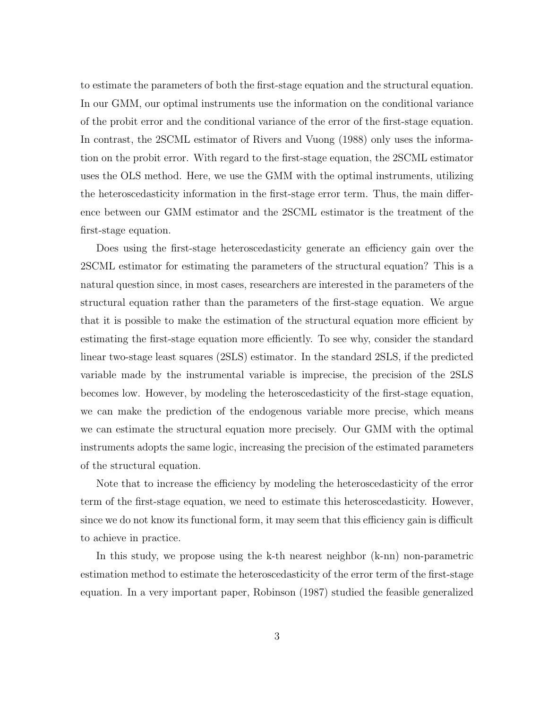to estimate the parameters of both the first-stage equation and the structural equation. In our GMM, our optimal instruments use the information on the conditional variance of the probit error and the conditional variance of the error of the first-stage equation. In contrast, the 2SCML estimator of Rivers and Vuong (1988) only uses the information on the probit error. With regard to the first-stage equation, the 2SCML estimator uses the OLS method. Here, we use the GMM with the optimal instruments, utilizing the heteroscedasticity information in the first-stage error term. Thus, the main difference between our GMM estimator and the 2SCML estimator is the treatment of the first-stage equation.

Does using the first-stage heteroscedasticity generate an efficiency gain over the 2SCML estimator for estimating the parameters of the structural equation? This is a natural question since, in most cases, researchers are interested in the parameters of the structural equation rather than the parameters of the first-stage equation. We argue that it is possible to make the estimation of the structural equation more efficient by estimating the first-stage equation more efficiently. To see why, consider the standard linear two-stage least squares (2SLS) estimator. In the standard 2SLS, if the predicted variable made by the instrumental variable is imprecise, the precision of the 2SLS becomes low. However, by modeling the heteroscedasticity of the first-stage equation, we can make the prediction of the endogenous variable more precise, which means we can estimate the structural equation more precisely. Our GMM with the optimal instruments adopts the same logic, increasing the precision of the estimated parameters of the structural equation.

Note that to increase the efficiency by modeling the heteroscedasticity of the error term of the first-stage equation, we need to estimate this heteroscedasticity. However, since we do not know its functional form, it may seem that this efficiency gain is difficult to achieve in practice.

In this study, we propose using the k-th nearest neighbor (k-nn) non-parametric estimation method to estimate the heteroscedasticity of the error term of the first-stage equation. In a very important paper, Robinson (1987) studied the feasible generalized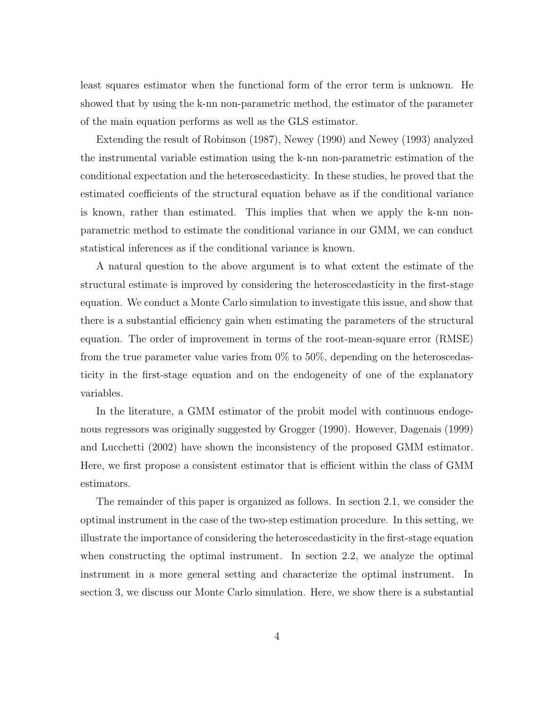least squares estimator when the functional form of the error term is unknown. He showed that by using the k-nn non-parametric method, the estimator of the parameter of the main equation performs as well as the GLS estimator.

Extending the result of Robinson (1987), Newey (1990) and Newey (1993) analyzed the instrumental variable estimation using the k-nn non-parametric estimation of the conditional expectation and the heteroscedasticity. In these studies, he proved that the estimated coefficients of the structural equation behave as if the conditional variance is known, rather than estimated. This implies that when we apply the k-nn nonparametric method to estimate the conditional variance in our GMM, we can conduct statistical inferences as if the conditional variance is known.

A natural question to the above argument is to what extent the estimate of the structural estimate is improved by considering the heteroscedasticity in the first-stage equation. We conduct a Monte Carlo simulation to investigate this issue, and show that there is a substantial efficiency gain when estimating the parameters of the structural equation. The order of improvement in terms of the root-mean-square error (RMSE) from the true parameter value varies from 0% to 50%, depending on the heteroscedasticity in the first-stage equation and on the endogeneity of one of the explanatory variables.

In the literature, a GMM estimator of the probit model with continuous endogenous regressors was originally suggested by Grogger (1990). However, Dagenais (1999) and Lucchetti (2002) have shown the inconsistency of the proposed GMM estimator. Here, we first propose a consistent estimator that is efficient within the class of GMM estimators.

The remainder of this paper is organized as follows. In section 2.1, we consider the optimal instrument in the case of the two-step estimation procedure. In this setting, we illustrate the importance of considering the heteroscedasticity in the first-stage equation when constructing the optimal instrument. In section 2.2, we analyze the optimal instrument in a more general setting and characterize the optimal instrument. In section 3, we discuss our Monte Carlo simulation. Here, we show there is a substantial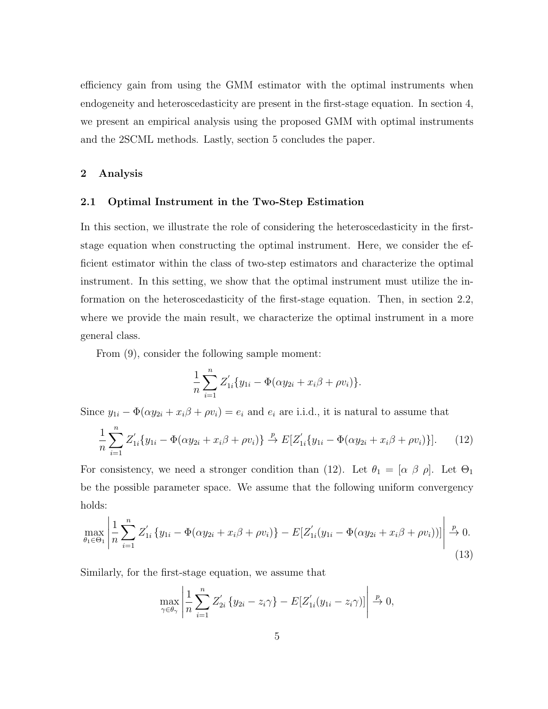efficiency gain from using the GMM estimator with the optimal instruments when endogeneity and heteroscedasticity are present in the first-stage equation. In section 4, we present an empirical analysis using the proposed GMM with optimal instruments and the 2SCML methods. Lastly, section 5 concludes the paper.

### 2 Analysis

### 2.1 Optimal Instrument in the Two-Step Estimation

In this section, we illustrate the role of considering the heteroscedasticity in the firststage equation when constructing the optimal instrument. Here, we consider the efficient estimator within the class of two-step estimators and characterize the optimal instrument. In this setting, we show that the optimal instrument must utilize the information on the heteroscedasticity of the first-stage equation. Then, in section 2.2, where we provide the main result, we characterize the optimal instrument in a more general class.

From (9), consider the following sample moment:

$$
\frac{1}{n}\sum_{i=1}^{n}Z'_{1i}\{y_{1i}-\Phi(\alpha y_{2i}+x_i\beta+\rho v_i)\}.
$$

Since  $y_{1i} - \Phi(\alpha y_{2i} + x_i \beta + \rho v_i) = e_i$  and  $e_i$  are i.i.d., it is natural to assume that

$$
\frac{1}{n}\sum_{i=1}^{n}Z'_{1i}\{y_{1i} - \Phi(\alpha y_{2i} + x_i\beta + \rho v_i)\} \xrightarrow{p} E[Z'_{1i}\{y_{1i} - \Phi(\alpha y_{2i} + x_i\beta + \rho v_i)\}].
$$
 (12)

For consistency, we need a stronger condition than (12). Let  $\theta_1 = [\alpha \beta \rho]$ . Let  $\Theta_1$ be the possible parameter space. We assume that the following uniform convergency holds:

$$
\max_{\theta_1 \in \Theta_1} \left| \frac{1}{n} \sum_{i=1}^n Z'_{1i} \left\{ y_{1i} - \Phi(\alpha y_{2i} + x_i \beta + \rho v_i) \right\} - E[Z'_{1i}(y_{1i} - \Phi(\alpha y_{2i} + x_i \beta + \rho v_i))] \right| \xrightarrow{p} 0. \tag{13}
$$

Similarly, for the first-stage equation, we assume that

$$
\max_{\gamma \in \theta_{\gamma}} \left| \frac{1}{n} \sum_{i=1}^{n} Z'_{2i} \left\{ y_{2i} - z_i \gamma \right\} - E[Z'_{1i}(y_{1i} - z_i \gamma)] \right| \xrightarrow{p} 0,
$$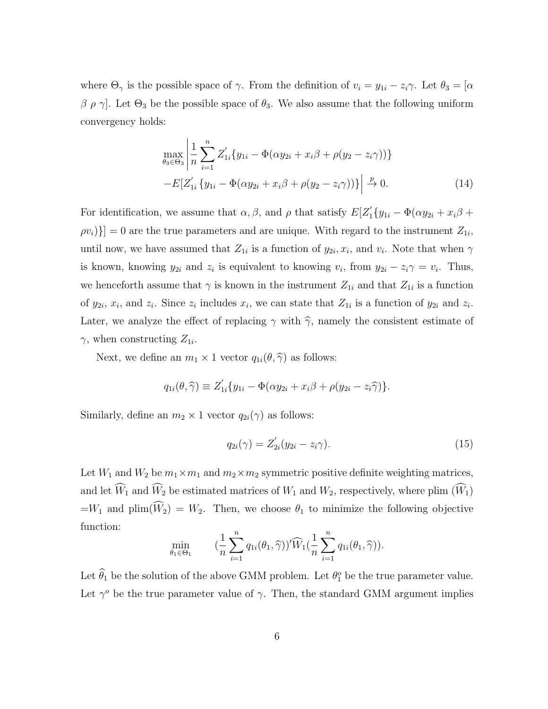where  $\Theta_{\gamma}$  is the possible space of  $\gamma$ . From the definition of  $v_i = y_{1i} - z_i \gamma$ . Let  $\theta_3 = [\alpha]$ β ρ γ. Let  $\Theta_3$  be the possible space of  $\theta_3$ . We also assume that the following uniform convergency holds:

$$
\max_{\theta_3 \in \Theta_3} \left| \frac{1}{n} \sum_{i=1}^n Z'_{1i} \{ y_{1i} - \Phi(\alpha y_{2i} + x_i \beta + \rho(y_2 - z_i \gamma)) \} - E[Z'_{1i} \{ y_{1i} - \Phi(\alpha y_{2i} + x_i \beta + \rho(y_2 - z_i \gamma)) \} \right| \xrightarrow{p} 0.
$$
\n(14)

For identification, we assume that  $\alpha, \beta$ , and  $\rho$  that satisfy  $E[Z'_1\{y_{1i} - \Phi(\alpha y_{2i} + x_i\beta + \theta)\}]$  $[ev_i]\}$  = 0 are the true parameters and are unique. With regard to the instrument  $Z_{1i}$ , until now, we have assumed that  $Z_{1i}$  is a function of  $y_{2i}, x_i$ , and  $v_i$ . Note that when  $\gamma$ is known, knowing  $y_{2i}$  and  $z_i$  is equivalent to knowing  $v_i$ , from  $y_{2i} - z_i \gamma = v_i$ . Thus, we henceforth assume that  $\gamma$  is known in the instrument  $Z_{1i}$  and that  $Z_{1i}$  is a function of  $y_{2i}$ ,  $x_i$ , and  $z_i$ . Since  $z_i$  includes  $x_i$ , we can state that  $Z_{1i}$  is a function of  $y_{2i}$  and  $z_i$ . Later, we analyze the effect of replacing  $\gamma$  with  $\hat{\gamma}$ , namely the consistent estimate of  $\gamma$ , when constructing  $Z_{1i}$ .

Next, we define an  $m_1 \times 1$  vector  $q_{1i}(\theta, \hat{\gamma})$  as follows:

$$
q_{1i}(\theta,\widehat{\gamma}) \equiv Z'_{1i}\{y_{1i} - \Phi(\alpha y_{2i} + x_i\beta + \rho(y_{2i} - z_i\widehat{\gamma})\}.
$$

Similarly, define an  $m_2 \times 1$  vector  $q_{2i}(\gamma)$  as follows:

$$
q_{2i}(\gamma) = Z'_{2i}(y_{2i} - z_i \gamma).
$$
 (15)

Let  $W_1$  and  $W_2$  be  $m_1 \times m_1$  and  $m_2 \times m_2$  symmetric positive definite weighting matrices, and let  $\widehat{W}_1$  and  $\widehat{W}_2$  be estimated matrices of  $W_1$  and  $W_2$ , respectively, where plim  $(\widehat{W}_1)$  $=W_1$  and  $\text{plim}(\widehat{W}_2) = W_2$ . Then, we choose  $\theta_1$  to minimize the following objective function:

$$
\min_{\theta_1 \in \Theta_1} \qquad (\frac{1}{n} \sum_{i=1}^n q_{1i}(\theta_1, \widehat{\gamma}))' \widehat{W}_1(\frac{1}{n} \sum_{i=1}^n q_{1i}(\theta_1, \widehat{\gamma})).
$$

Let  $\hat{\theta}_1$  be the solution of the above GMM problem. Let  $\theta_1^o$  be the true parameter value. Let  $\gamma^o$  be the true parameter value of  $\gamma$ . Then, the standard GMM argument implies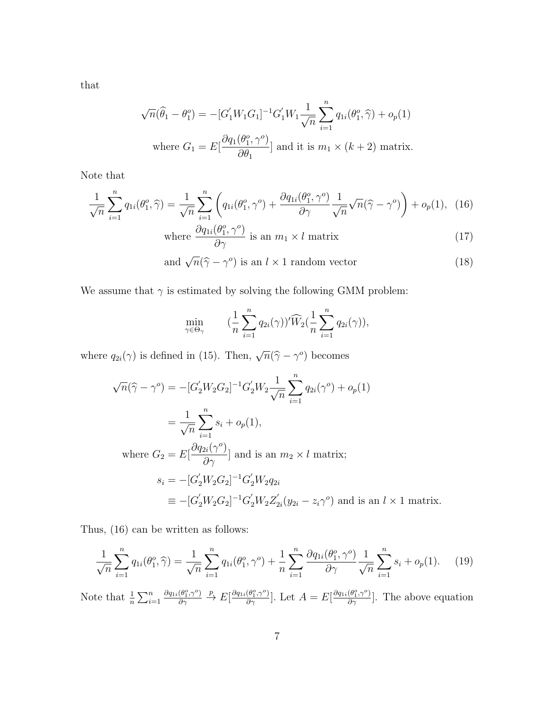that

$$
\sqrt{n}(\widehat{\theta}_1 - \theta_1^o) = -[G'_1 W_1 G_1]^{-1} G'_1 W_1 \frac{1}{\sqrt{n}} \sum_{i=1}^n q_{1i}(\theta_1^o, \widehat{\gamma}) + o_p(1)
$$
  
where  $G_1 = E\left[\frac{\partial q_1(\theta_1^o, \gamma^o)}{\partial \theta_1}\right]$  and it is  $m_1 \times (k+2)$  matrix.

Note that

$$
\frac{1}{\sqrt{n}}\sum_{i=1}^{n}q_{1i}(\theta_1^o,\widehat{\gamma})=\frac{1}{\sqrt{n}}\sum_{i=1}^{n}\left(q_{1i}(\theta_1^o,\gamma^o)+\frac{\partial q_{1i}(\theta_1^o,\gamma^o)}{\partial \gamma}\frac{1}{\sqrt{n}}\sqrt{n}(\widehat{\gamma}-\gamma^o)\right)+o_p(1),\tag{16}
$$

where 
$$
\frac{\partial q_{1i}(\theta_1^o, \gamma^o)}{\partial \gamma}
$$
 is an  $m_1 \times l$  matrix (17)

and 
$$
\sqrt{n}(\hat{\gamma} - \gamma^o)
$$
 is an  $l \times 1$  random vector (18)

We assume that  $\gamma$  is estimated by solving the following GMM problem:

$$
\min_{\gamma \in \Theta_{\gamma}} \qquad (\frac{1}{n} \sum_{i=1}^{n} q_{2i}(\gamma))' \widehat{W}_2(\frac{1}{n} \sum_{i=1}^{n} q_{2i}(\gamma)),
$$

where  $q_{2i}(\gamma)$  is defined in (15). Then,  $\sqrt{n}(\hat{\gamma} - \gamma^o)$  becomes

$$
\sqrt{n}(\hat{\gamma} - \gamma^o) = -[G_2' W_2 G_2]^{-1} G_2' W_2 \frac{1}{\sqrt{n}} \sum_{i=1}^n q_{2i}(\gamma^o) + o_p(1)
$$
  
\n
$$
= \frac{1}{\sqrt{n}} \sum_{i=1}^n s_i + o_p(1),
$$
  
\nwhere  $G_2 = E[\frac{\partial q_{2i}(\gamma^o)}{\partial \gamma}]$  and is an  $m_2 \times l$  matrix;  
\n
$$
s_i = -[G_2' W_2 G_2]^{-1} G_2' W_2 q_{2i}
$$
  
\n
$$
\equiv -[G_2' W_2 G_2]^{-1} G_2' W_2 Z_{2i}' (y_{2i} - z_i \gamma^o)
$$
 and is an  $l \times 1$  matrix.

Thus, (16) can be written as follows:

$$
\frac{1}{\sqrt{n}} \sum_{i=1}^{n} q_{1i}(\theta_1^o, \hat{\gamma}) = \frac{1}{\sqrt{n}} \sum_{i=1}^{n} q_{1i}(\theta_1^o, \gamma^o) + \frac{1}{n} \sum_{i=1}^{n} \frac{\partial q_{1i}(\theta_1^o, \gamma^o)}{\partial \gamma} \frac{1}{\sqrt{n}} \sum_{i=1}^{n} s_i + o_p(1).
$$
 (19)

Note that  $\frac{1}{n} \sum_{i=1}^{n}$  $\partial q_{1i}(\theta_1^o,\gamma^o)$  $\frac{(\theta_1^o, \gamma^o)}{\partial \gamma}$   $\stackrel{p}{\rightarrow}$   $E[\frac{\partial q_{1i}(\theta_1^o, \gamma^o)}{\partial \gamma}]$ . Let  $A = E[\frac{\partial q_{1i}(\theta_1^o, \gamma^o)}{\partial \gamma}]$ . The above equation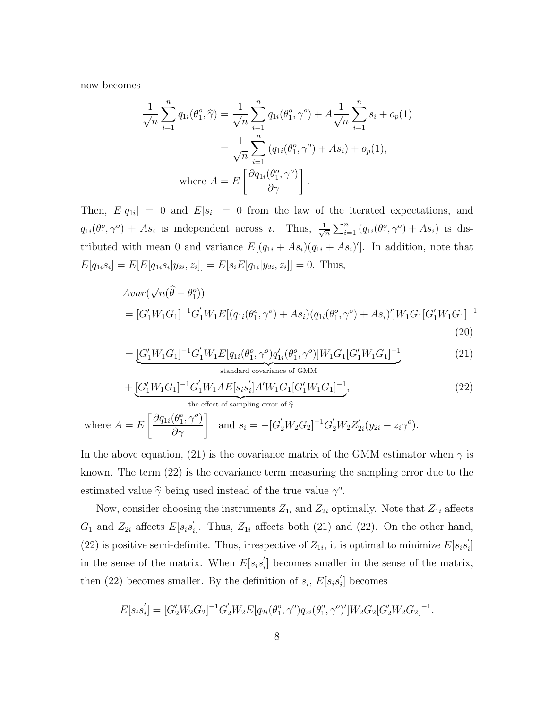now becomes

$$
\frac{1}{\sqrt{n}} \sum_{i=1}^{n} q_{1i}(\theta_1^o, \widehat{\gamma}) = \frac{1}{\sqrt{n}} \sum_{i=1}^{n} q_{1i}(\theta_1^o, \gamma^o) + A \frac{1}{\sqrt{n}} \sum_{i=1}^{n} s_i + o_p(1)
$$

$$
= \frac{1}{\sqrt{n}} \sum_{i=1}^{n} (q_{1i}(\theta_1^o, \gamma^o) + As_i) + o_p(1),
$$
where  $A = E\left[\frac{\partial q_{1i}(\theta_1^o, \gamma^o)}{\partial \gamma}\right]$ .

Then,  $E[q_{1i}] = 0$  and  $E[s_i] = 0$  from the law of the iterated expectations, and  $q_{1i}(\theta_1^o, \gamma^o) + As_i$  is independent across i. Thus,  $\frac{1}{\sqrt{3}}$  $\frac{1}{\sqrt{n}}\sum_{i=1}^n (q_{1i}(\theta_1^o, \gamma^o) + As_i)$  is distributed with mean 0 and variance  $E[(q_{1i} + As_i)(q_{1i} + As_i)']$ . In addition, note that  $E[q_{1i}s_i] = E[E[q_{1i}s_i|y_{2i}, z_i]] = E[s_i E[q_{1i}|y_{2i}, z_i]] = 0$ . Thus,

$$
Avar(\sqrt{n}(\hat{\theta} - \theta_1^o))
$$
  
=  $[G'_1 W_1 G_1]^{-1} G'_1 W_1 E[(q_{1i}(\theta_1^o, \gamma^o) + As_i)(q_{1i}(\theta_1^o, \gamma^o) + As_i)'] W_1 G_1 [G'_1 W_1 G_1]^{-1}$   
(20)

$$
= \underbrace{[G'_1 W_1 G_1]^{-1} G'_1 W_1 E[q_{1i}(\theta_1^o, \gamma^o) q'_{1i}(\theta_1^o, \gamma^o)] W_1 G_1 [G'_1 W_1 G_1]^{-1}}_{\text{standard covariance of GMM}}
$$
(21)

$$
+\underbrace{[G'_1W_1G_1]^{-1}G'_1W_1AE[s_is_i']A'W_1G_1[G'_1W_1G_1]^{-1}}_{\text{the effect of sampling error of }\hat{\gamma}},\tag{22}
$$

where 
$$
A = E\left[\frac{\partial q_{1i}(\theta_1^o, \gamma^o)}{\partial \gamma}\right]
$$
 and  $s_i = -[G_2' W_2 G_2]^{-1} G_2' W_2 Z_{2i}' (y_{2i} - z_i \gamma^o)$ .

In the above equation, (21) is the covariance matrix of the GMM estimator when  $\gamma$  is known. The term (22) is the covariance term measuring the sampling error due to the estimated value  $\hat{\gamma}$  being used instead of the true value  $\gamma^o$ .

Now, consider choosing the instruments  $Z_{1i}$  and  $Z_{2i}$  optimally. Note that  $Z_{1i}$  affects  $G_1$  and  $Z_{2i}$  affects  $E[s_is'_i]$  $Z_{i}$ . Thus,  $Z_{1i}$  affects both (21) and (22). On the other hand, (22) is positive semi-definite. Thus, irrespective of  $Z_{1i}$ , it is optimal to minimize  $E[s_is'_i]$  $\int_{i}$ in the sense of the matrix. When  $E[s_is'_i]$ i ] becomes smaller in the sense of the matrix, then (22) becomes smaller. By the definition of  $s_i$ ,  $E[s_is'_i]$  $i<sub>i</sub>$  becomes

$$
E[s_is'_i] = [G'_2W_2G_2]^{-1}G'_2W_2E[q_{2i}(\theta_1^o, \gamma^o)q_{2i}(\theta_1^o, \gamma^o)']W_2G_2[G'_2W_2G_2]^{-1}
$$

.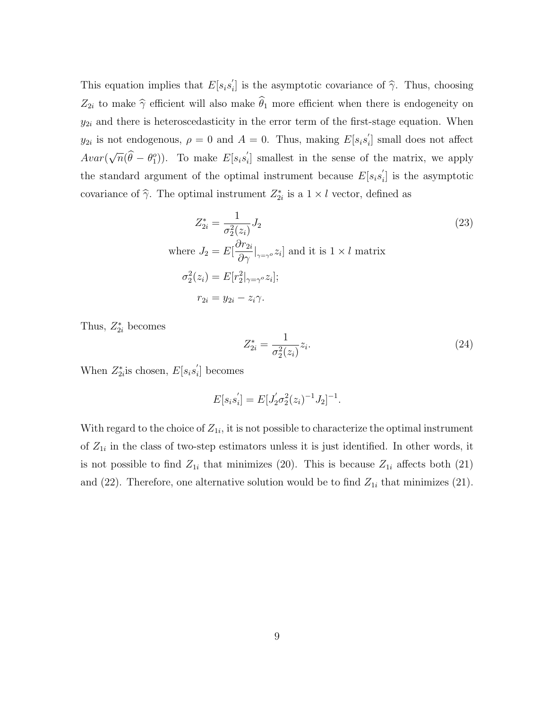This equation implies that  $E[s_is'_i]$ if is the asymptotic covariance of  $\hat{\gamma}$ . Thus, choosing  $Z_{2i}$  to make  $\hat{\gamma}$  efficient will also make  $\hat{\theta}_1$  more efficient when there is endogeneity on  $y_{2i}$  and there is heteroscedasticity in the error term of the first-stage equation. When  $y_{2i}$  is not endogenous,  $\rho = 0$  and  $A = 0$ . Thus, making  $E[s_i s_i']$  $i<sub>i</sub>$  small does not affect Avar( √  $\overline{n}(\widehat{\theta} - \theta_1^o)$ ). To make  $E[s_i s_i']$ i ] smallest in the sense of the matrix, we apply the standard argument of the optimal instrument because  $E[s_is'_i]$  $i<sub>i</sub>$  is the asymptotic covariance of  $\hat{\gamma}$ . The optimal instrument  $Z_{2i}^*$  is a  $1 \times l$  vector, defined as

$$
Z_{2i}^{*} = \frac{1}{\sigma_2^2(z_i)} J_2
$$
\nwhere  $J_2 = E\left[\frac{\partial r_{2i}}{\partial \gamma}|_{\gamma=\gamma} \circ z_i\right]$  and it is  $1 \times l$  matrix\n
$$
\sigma_2^2(z_i) = E[r_2^2|_{\gamma=\gamma} \circ z_i];
$$
\n
$$
r_{2i} = y_{2i} - z_i \gamma.
$$
\n(23)

Thus,  $Z_{2i}^*$  becomes

$$
Z_{2i}^{*} = \frac{1}{\sigma_2^2(z_i)} z_i.
$$
\n(24)

When  $Z_{2i}^*$  is chosen,  $E[s_is'_i]$  $i<sub>i</sub>$  becomes

$$
E[s_i s_i'] = E[J_2' \sigma_2^2(z_i)^{-1} J_2]^{-1}.
$$

With regard to the choice of  $Z_{1i}$ , it is not possible to characterize the optimal instrument of  $Z_{1i}$  in the class of two-step estimators unless it is just identified. In other words, it is not possible to find  $Z_{1i}$  that minimizes (20). This is because  $Z_{1i}$  affects both (21) and (22). Therefore, one alternative solution would be to find  $Z_{1i}$  that minimizes (21).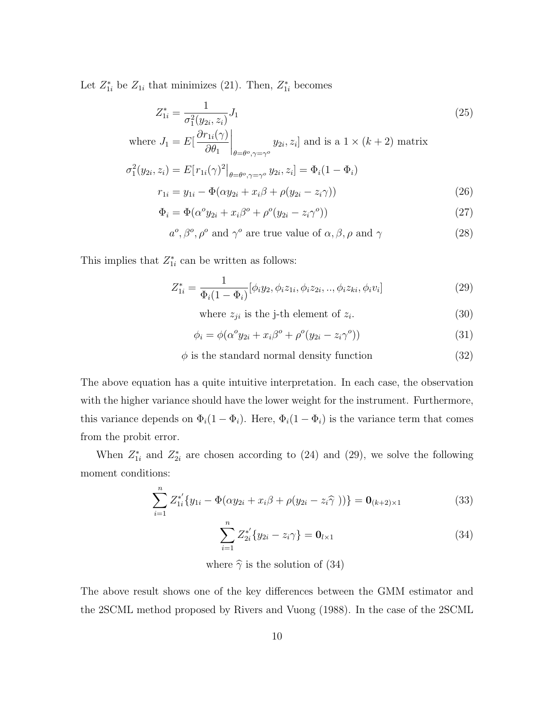Let  $Z_{1i}^*$  be  $Z_{1i}$  that minimizes (21). Then,  $Z_{1i}^*$  becomes

$$
Z_{1i}^* = \frac{1}{\sigma_1^2(y_{2i}, z_i)} J_1 \tag{25}
$$

where 
$$
J_1 = E\left[\frac{\partial r_{1i}(\gamma)}{\partial \theta_1}\bigg|_{\theta = \theta^o, \gamma = \gamma^o} y_{2i}, z_i\right]
$$
 and is a  $1 \times (k+2)$  matrix

$$
\sigma_1^2(y_{2i}, z_i) = E[r_{1i}(\gamma)^2|_{\theta = \theta^o, \gamma = \gamma^o} y_{2i}, z_i] = \Phi_i(1 - \Phi_i)
$$
  

$$
r_{1i} = y_{1i} - \Phi(\alpha y_{2i} + x_i \beta + \rho(y_{2i} - z_i \gamma))
$$
 (26)

$$
\Phi_i = \Phi(\alpha^o y_{2i} + x_i \beta^o + \rho^o(y_{2i} - z_i \gamma^o))
$$
\n(27)

$$
a^o, \beta^o, \rho^o
$$
 and  $\gamma^o$  are true value of  $\alpha, \beta, \rho$  and  $\gamma$  (28)

This implies that  $Z_{1i}^*$  can be written as follows:

$$
Z_{1i}^{*} = \frac{1}{\Phi_{i}(1 - \Phi_{i})} [\phi_{i}y_{2}, \phi_{i}z_{1i}, \phi_{i}z_{2i}, ..., \phi_{i}z_{ki}, \phi_{i}v_{i}] \qquad (29)
$$

where  $z_{ji}$  is the j-th element of  $z_i$ . . (30)

$$
\phi_i = \phi(\alpha^o y_{2i} + x_i \beta^o + \rho^o(y_{2i} - z_i \gamma^o))
$$
\n(31)

$$
\phi \text{ is the standard normal density function} \tag{32}
$$

The above equation has a quite intuitive interpretation. In each case, the observation with the higher variance should have the lower weight for the instrument. Furthermore, this variance depends on  $\Phi_i(1-\Phi_i)$ . Here,  $\Phi_i(1-\Phi_i)$  is the variance term that comes from the probit error.

When  $Z_{1i}^*$  and  $Z_{2i}^*$  are chosen according to (24) and (29), we solve the following moment conditions:

$$
\sum_{i=1}^{n} Z_{1i}^{*'} \{ y_{1i} - \Phi(\alpha y_{2i} + x_i \beta + \rho(y_{2i} - z_i \hat{\gamma})) \} = \mathbf{0}_{(k+2) \times 1}
$$
 (33)

$$
\sum_{i=1}^{n} Z_{2i}^{*'} \{ y_{2i} - z_i \gamma \} = \mathbf{0}_{l \times 1}
$$
 (34)

where  $\hat{\gamma}$  is the solution of (34)

The above result shows one of the key differences between the GMM estimator and the 2SCML method proposed by Rivers and Vuong (1988). In the case of the 2SCML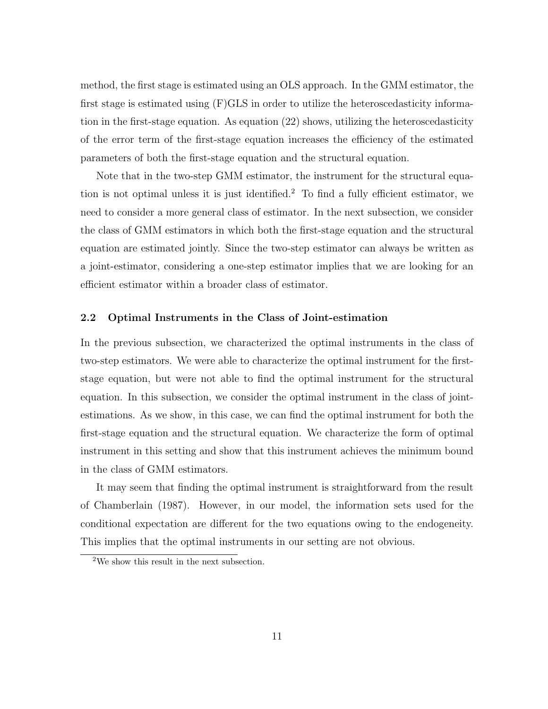method, the first stage is estimated using an OLS approach. In the GMM estimator, the first stage is estimated using (F)GLS in order to utilize the heteroscedasticity information in the first-stage equation. As equation (22) shows, utilizing the heteroscedasticity of the error term of the first-stage equation increases the efficiency of the estimated parameters of both the first-stage equation and the structural equation.

Note that in the two-step GMM estimator, the instrument for the structural equation is not optimal unless it is just identified.<sup>2</sup> To find a fully efficient estimator, we need to consider a more general class of estimator. In the next subsection, we consider the class of GMM estimators in which both the first-stage equation and the structural equation are estimated jointly. Since the two-step estimator can always be written as a joint-estimator, considering a one-step estimator implies that we are looking for an efficient estimator within a broader class of estimator.

### 2.2 Optimal Instruments in the Class of Joint-estimation

In the previous subsection, we characterized the optimal instruments in the class of two-step estimators. We were able to characterize the optimal instrument for the firststage equation, but were not able to find the optimal instrument for the structural equation. In this subsection, we consider the optimal instrument in the class of jointestimations. As we show, in this case, we can find the optimal instrument for both the first-stage equation and the structural equation. We characterize the form of optimal instrument in this setting and show that this instrument achieves the minimum bound in the class of GMM estimators.

It may seem that finding the optimal instrument is straightforward from the result of Chamberlain (1987). However, in our model, the information sets used for the conditional expectation are different for the two equations owing to the endogeneity. This implies that the optimal instruments in our setting are not obvious.

<sup>2</sup>We show this result in the next subsection.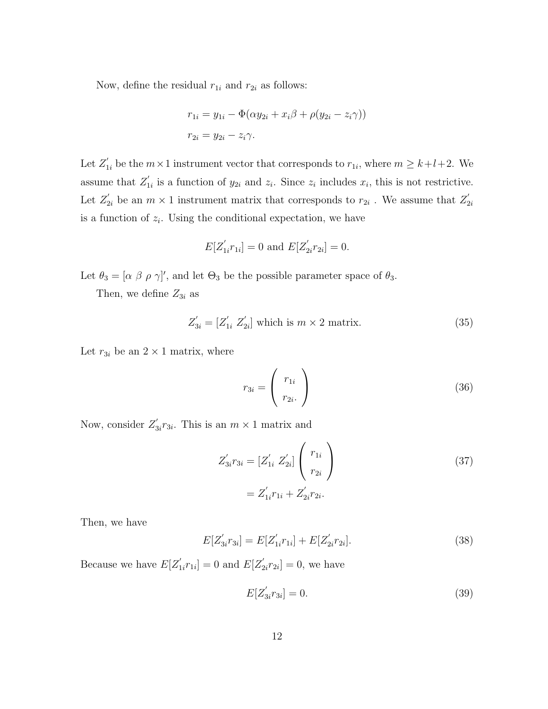Now, define the residual  $r_{1i}$  and  $r_{2i}$  as follows:

$$
r_{1i} = y_{1i} - \Phi(\alpha y_{2i} + x_i \beta + \rho(y_{2i} - z_i \gamma))
$$
  

$$
r_{2i} = y_{2i} - z_i \gamma.
$$

Let  $Z'_{1i}$  be the  $m \times 1$  instrument vector that corresponds to  $r_{1i}$ , where  $m \geq k + l + 2$ . We assume that  $Z'_1$  $i_1$  is a function of  $y_{2i}$  and  $z_i$ . Since  $z_i$  includes  $x_i$ , this is not restrictive. Let  $Z'_{2i}$  be an  $m \times 1$  instrument matrix that corresponds to  $r_{2i}$ . We assume that  $Z'_{2i}$  $2i$ is a function of  $z_i$ . Using the conditional expectation, we have

$$
E[Z'_{1i}r_{1i}] = 0 \text{ and } E[Z'_{2i}r_{2i}] = 0.
$$

Let  $\theta_3 = [\alpha \beta \rho \gamma]'$ , and let  $\Theta_3$  be the possible parameter space of  $\theta_3$ .

Then, we define  $Z_{3i}$  as

$$
Z'_{3i} = [Z'_{1i} \ Z'_{2i}] \text{ which is } m \times 2 \text{ matrix.}
$$
 (35)

Let  $r_{3i}$  be an  $2 \times 1$  matrix, where

$$
r_{3i} = \begin{pmatrix} r_{1i} \\ r_{2i} \end{pmatrix} \tag{36}
$$

Now, consider  $Z'_{\mathfrak{p}}$  $s'_{3i}r_{3i}$ . This is an  $m \times 1$  matrix and

$$
Z'_{3i}r_{3i} = [Z'_{1i} Z'_{2i}] \begin{pmatrix} r_{1i} \\ r_{2i} \end{pmatrix}
$$
  
=  $Z'_{1i}r_{1i} + Z'_{2i}r_{2i}.$  (37)

Then, we have

$$
E[Z'_{3i}r_{3i}] = E[Z'_{1i}r_{1i}] + E[Z'_{2i}r_{2i}].
$$
\n(38)

Because we have  $E[Z'_1]$  $T_{1i}r_{1i}]=0$  and  $E[Z'_2]$  $x'_{2i}r_{2i} = 0$ , we have

$$
E[Z'_{3i}r_{3i}] = 0.
$$
\n(39)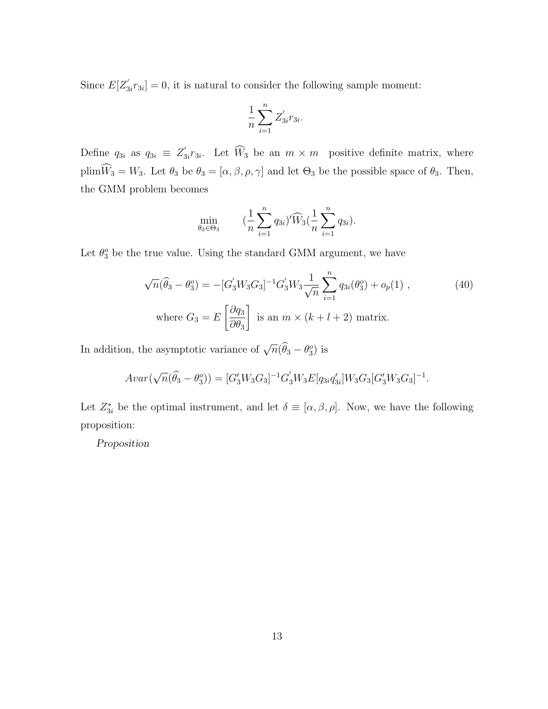Since  $E[Z'_3]$  $S_{3i}r_{3i} = 0$ , it is natural to consider the following sample moment:

$$
\frac{1}{n}\sum_{i=1}^n Z'_{3i}r_{3i}.
$$

Define  $q_{3i}$  as  $q_{3i} \equiv Z'_3$  $x_{3i}$  $x_{3i}$ . Let  $W_3$  be an  $m \times m$  positive definite matrix, where  $\text{plim}\widehat{W}_3 = W_3$ . Let  $\theta_3$  be  $\theta_3 = [\alpha, \beta, \rho, \gamma]$  and let  $\Theta_3$  be the possible space of  $\theta_3$ . Then, the GMM problem becomes

$$
\min_{\theta_3 \in \Theta_3} \qquad (\frac{1}{n} \sum_{i=1}^n q_{3i})' \widehat{W}_3(\frac{1}{n} \sum_{i=1}^n q_{3i}).
$$

Let  $\theta_3^o$  be the true value. Using the standard GMM argument, we have

$$
\sqrt{n}(\widehat{\theta}_3 - \theta_3^o) = -[G_3'W_3G_3]^{-1}G_3'W_3\frac{1}{\sqrt{n}}\sum_{i=1}^n q_{3i}(\theta_3^o) + o_p(1) ,\qquad(40)
$$
  
where  $G_3 = E\left[\frac{\partial q_3}{\partial \theta_3}\right]$  is an  $m \times (k+l+2)$  matrix.

In addition, the asymptotic variance of  $\sqrt{n}(\widehat{\theta}_3 - \theta_3)$  is

$$
Avar(\sqrt{n}(\widehat{\theta}_3 - \theta_3^o)) = [G'_3 W_3 G_3]^{-1} G'_3 W_3 E[q_{3i} q'_{3i}] W_3 G_3 [G'_3 W_3 G_3]^{-1}.
$$

Let  $Z_{3i}^*$  be the optimal instrument, and let  $\delta \equiv [\alpha, \beta, \rho]$ . Now, we have the following proposition:

Proposition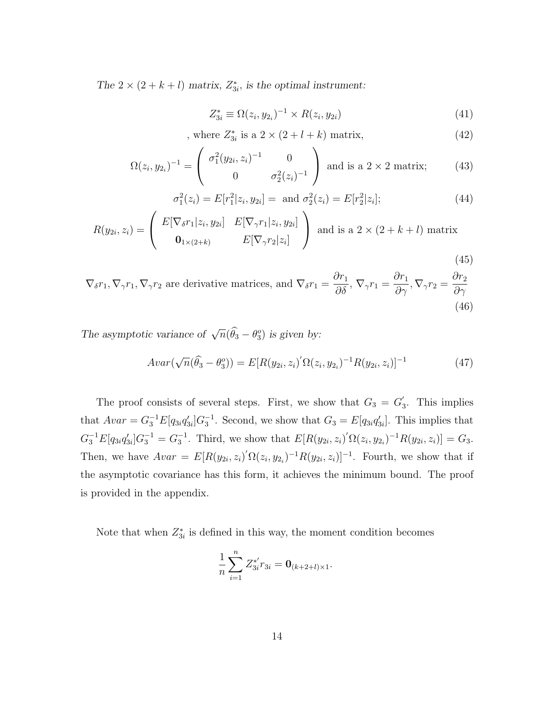The  $2 \times (2 + k + l)$  matrix,  $Z_{3i}^*$ , is the optimal instrument:

$$
Z_{3i}^* \equiv \Omega(z_i, y_{2i})^{-1} \times R(z_i, y_{2i}) \tag{41}
$$

, where  $Z_{3i}^{*}$  is a  $2 \times (2 + l + k)$  matrix, (42)

$$
\Omega(z_i, y_{2_i})^{-1} = \begin{pmatrix} \sigma_1^2 (y_{2i}, z_i)^{-1} & 0\\ 0 & \sigma_2^2 (z_i)^{-1} \end{pmatrix} \text{ and is a } 2 \times 2 \text{ matrix}; \qquad (43)
$$

$$
\sigma_1^2(z_i) = E[r_1^2|z_i, y_{2i}] = \text{ and } \sigma_2^2(z_i) = E[r_2^2|z_i]; \tag{44}
$$

$$
R(y_{2i}, z_i) = \begin{pmatrix} E[\nabla_{\delta}r_1 | z_i, y_{2i}] & E[\nabla_{\gamma}r_1 | z_i, y_{2i}] \\ \mathbf{0}_{1 \times (2+k)} & E[\nabla_{\gamma}r_2 | z_i] \end{pmatrix} \text{ and is a } 2 \times (2+k+l) \text{ matrix}
$$
\n(45)

 $\nabla_{\delta} r_1, \nabla_{\gamma} r_1, \nabla_{\gamma} r_2$  are derivative matrices, and  $\nabla_{\delta} r_1 = \frac{\partial r_1}{\partial \delta}, \nabla_{\gamma} r_1 = \frac{\partial r_1}{\partial \gamma}, \nabla_{\gamma} r_2 =$  $\partial r_2$  $\partial \gamma$ (46)

The asymptotic variance of  $\sqrt{n}(\widehat{\theta}_3 - \theta_3)$  is given by:

$$
Avar(\sqrt{n}(\hat{\theta}_3 - \theta_3^o)) = E[R(y_{2i}, z_i)'\Omega(z_i, y_{2i})^{-1}R(y_{2i}, z_i)]^{-1}
$$
(47)

The proof consists of several steps. First, we show that  $G_3 = G_3$ 3 . This implies that  $Avar = G_3^{-1}E[q_{3i}q'_{3i}]G_3^{-1}$ . Second, we show that  $G_3 = E[q_{3i}q'_{3i}]$ . This implies that  $G_3^{-1}E[q_{3i}q'_{3i}]G_3^{-1} = G_3^{-1}$ . Third, we show that  $E[R(y_{2i}, z_i)' \Omega(z_i, y_{2i})^{-1} R(y_{2i}, z_i)] = G_3$ . Then, we have  $Avar = E[R(y_{2i}, z_i)' \Omega(z_i, y_{2i})^{-1} R(y_{2i}, z_i)]^{-1}$ . Fourth, we show that if the asymptotic covariance has this form, it achieves the minimum bound. The proof is provided in the appendix.

Note that when  $Z_{3i}^*$  is defined in this way, the moment condition becomes

$$
\frac{1}{n}\sum_{i=1}^n Z_{3i}^{*'} r_{3i} = \mathbf{0}_{(k+2+l)\times 1}.
$$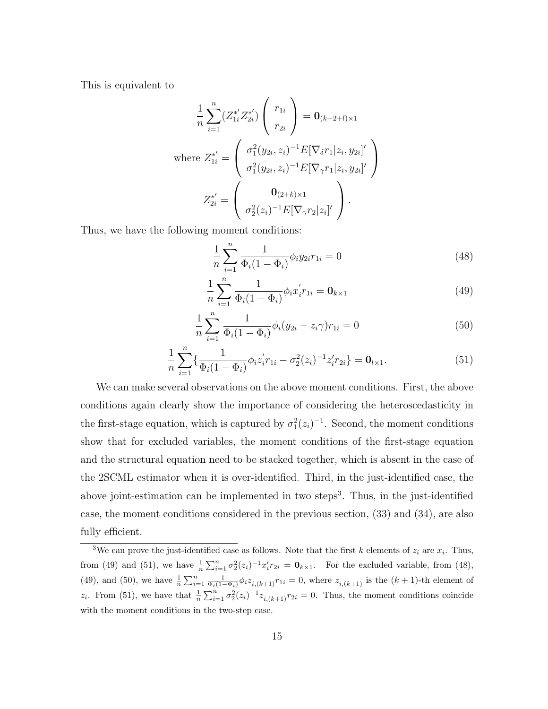This is equivalent to

$$
\frac{1}{n} \sum_{i=1}^{n} (Z_{1i}^{*'} Z_{2i}^{*'}) \begin{pmatrix} r_{1i} \\ r_{2i} \end{pmatrix} = \mathbf{0}_{(k+2+l)\times 1}
$$
\nwhere  $Z_{1i}^{*'} = \begin{pmatrix} \sigma_1^2 (y_{2i}, z_i)^{-1} E[\nabla_{\delta} r_1 | z_i, y_{2i}]' \\ \sigma_1^2 (y_{2i}, z_i)^{-1} E[\nabla_{\gamma} r_1 | z_i, y_{2i}]' \end{pmatrix}$   
\n $Z_{2i}^{*'} = \begin{pmatrix} \mathbf{0}_{(2+k)\times 1} \\ \sigma_2^2 (z_i)^{-1} E[\nabla_{\gamma} r_2 | z_i]' \end{pmatrix}.$ 

Thus, we have the following moment conditions:

$$
\frac{1}{n}\sum_{i=1}^{n}\frac{1}{\Phi_i(1-\Phi_i)}\phi_i y_{2i}r_{1i} = 0
$$
\n(48)

$$
\frac{1}{n} \sum_{i=1}^{n} \frac{1}{\Phi_i (1 - \Phi_i)} \phi_i x_i' r_{1i} = \mathbf{0}_{k \times 1}
$$
\n(49)

$$
\frac{1}{n}\sum_{i=1}^{n}\frac{1}{\Phi_i(1-\Phi_i)}\phi_i(y_{2i}-z_i\gamma)r_{1i}=0
$$
\n(50)

$$
\frac{1}{n}\sum_{i=1}^{n} \left\{ \frac{1}{\Phi_i (1 - \Phi_i)} \phi_i z_i' r_{1i} - \sigma_2^2 (z_i)^{-1} z_i' r_{2i} \right\} = \mathbf{0}_{l \times 1}.
$$
\n(51)

We can make several observations on the above moment conditions. First, the above conditions again clearly show the importance of considering the heteroscedasticity in the first-stage equation, which is captured by  $\sigma_1^2(z_i)^{-1}$ . Second, the moment conditions show that for excluded variables, the moment conditions of the first-stage equation and the structural equation need to be stacked together, which is absent in the case of the 2SCML estimator when it is over-identified. Third, in the just-identified case, the above joint-estimation can be implemented in two steps<sup>3</sup>. Thus, in the just-identified case, the moment conditions considered in the previous section, (33) and (34), are also fully efficient.

<sup>&</sup>lt;sup>3</sup>We can prove the just-identified case as follows. Note that the first k elements of  $z_i$  are  $x_i$ . Thus, from (49) and (51), we have  $\frac{1}{n}\sum_{i=1}^n \sigma_2^2(z_i)^{-1}x_i' r_{2i} = \mathbf{0}_{k\times 1}$ . For the excluded variable, from (48), (49), and (50), we have  $\frac{1}{n} \sum_{i=1}^n \frac{1}{\Phi_i(1-\Phi_i)} \phi_i z_{i,(k+1)} r_{1i} = 0$ , where  $z_{i,(k+1)}$  is the  $(k+1)$ -th element of  $z_i$ . From (51), we have that  $\frac{1}{n}\sum_{i=1}^n\sigma_2^2(z_i)^{-1}z_{i,(k+1)}r_{2i}=0$ . Thus, the moment conditions coincide with the moment conditions in the two-step case.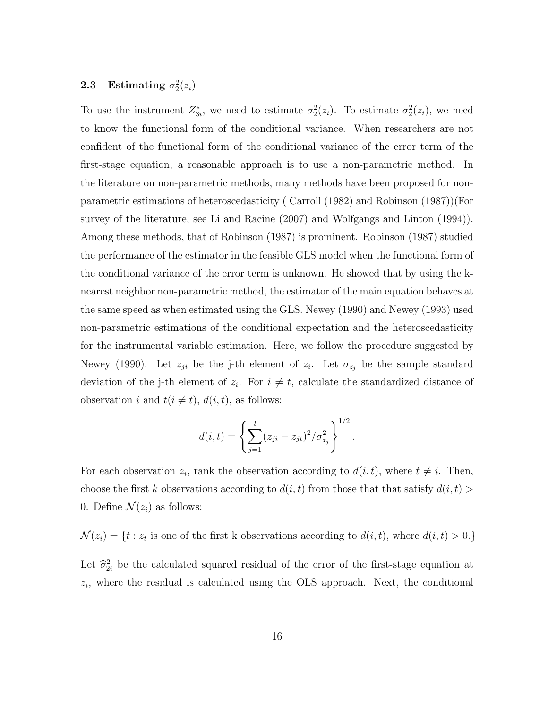### **2.3** Estimating  $\sigma_2^2(z_i)$

To use the instrument  $Z_{3i}^*$ , we need to estimate  $\sigma_2^2(z_i)$ . To estimate  $\sigma_2^2(z_i)$ , we need to know the functional form of the conditional variance. When researchers are not confident of the functional form of the conditional variance of the error term of the first-stage equation, a reasonable approach is to use a non-parametric method. In the literature on non-parametric methods, many methods have been proposed for nonparametric estimations of heteroscedasticity ( Carroll (1982) and Robinson (1987))(For survey of the literature, see Li and Racine (2007) and Wolfgangs and Linton (1994)). Among these methods, that of Robinson (1987) is prominent. Robinson (1987) studied the performance of the estimator in the feasible GLS model when the functional form of the conditional variance of the error term is unknown. He showed that by using the knearest neighbor non-parametric method, the estimator of the main equation behaves at the same speed as when estimated using the GLS. Newey (1990) and Newey (1993) used non-parametric estimations of the conditional expectation and the heteroscedasticity for the instrumental variable estimation. Here, we follow the procedure suggested by Newey (1990). Let  $z_{ji}$  be the j-th element of  $z_i$ . Let  $\sigma_{z_j}$  be the sample standard deviation of the j-th element of  $z_i$ . For  $i \neq t$ , calculate the standardized distance of observation i and  $t(i \neq t)$ ,  $d(i, t)$ , as follows:

$$
d(i,t) = \left\{ \sum_{j=1}^{l} (z_{ji} - z_{jt})^2 / \sigma_{z_j}^2 \right\}^{1/2}.
$$

For each observation  $z_i$ , rank the observation according to  $d(i, t)$ , where  $t \neq i$ . Then, choose the first k observations according to  $d(i, t)$  from those that that satisfy  $d(i, t)$ 0. Define  $\mathcal{N}(z_i)$  as follows:

 $\mathcal{N}(z_i) = \{t : z_t \text{ is one of the first k observations according to } d(i, t), \text{ where } d(i, t) > 0.\}$ 

Let  $\hat{\sigma}_{2i}^2$  be the calculated squared residual of the error of the first-stage equation at  $z_i$ , where the residual is calculated using the OLS approach. Next, the conditional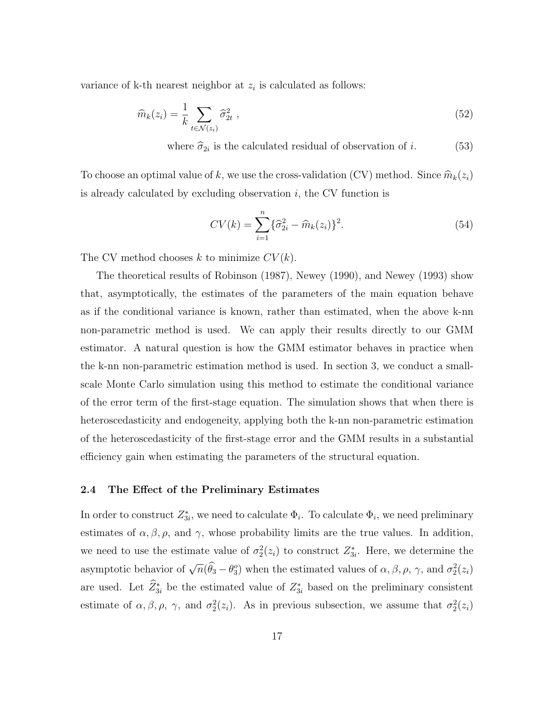variance of k-th nearest neighbor at  $z_i$  is calculated as follows:

$$
\widehat{m}_k(z_i) = \frac{1}{k} \sum_{t \in \mathcal{N}(z_i)} \widehat{\sigma}_{2t}^2 \tag{52}
$$

where  $\hat{\sigma}_{2i}$  is the calculated residual of observation of *i*. (53)

To choose an optimal value of k, we use the cross-validation (CV) method. Since  $\widehat{m}_k(z_i)$ is already calculated by excluding observation  $i$ , the CV function is

$$
CV(k) = \sum_{i=1}^{n} {\{\hat{\sigma}_{2i}^{2} - \hat{m}_{k}(z_{i})\}}^{2}.
$$
 (54)

The CV method chooses k to minimize  $CV(k)$ .

The theoretical results of Robinson (1987), Newey (1990), and Newey (1993) show that, asymptotically, the estimates of the parameters of the main equation behave as if the conditional variance is known, rather than estimated, when the above k-nn non-parametric method is used. We can apply their results directly to our GMM estimator. A natural question is how the GMM estimator behaves in practice when the k-nn non-parametric estimation method is used. In section 3, we conduct a smallscale Monte Carlo simulation using this method to estimate the conditional variance of the error term of the first-stage equation. The simulation shows that when there is heteroscedasticity and endogeneity, applying both the k-nn non-parametric estimation of the heteroscedasticity of the first-stage error and the GMM results in a substantial efficiency gain when estimating the parameters of the structural equation.

### 2.4 The Effect of the Preliminary Estimates

In order to construct  $Z_{3i}^*$ , we need to calculate  $\Phi_i$ . To calculate  $\Phi_i$ , we need preliminary estimates of  $\alpha, \beta, \rho$ , and  $\gamma$ , whose probability limits are the true values. In addition, we need to use the estimate value of  $\sigma_2^2(z_i)$  to construct  $Z_{3i}^*$ . Here, we determine the asymptotic behavior of  $\sqrt{n}(\hat{\theta}_3 - \theta_3)$  when the estimated values of  $\alpha, \beta, \rho, \gamma$ , and  $\sigma_2^2(z_i)$ are used. Let  $\hat{Z}_{3i}^*$  be the estimated value of  $Z_{3i}^*$  based on the preliminary consistent estimate of  $\alpha, \beta, \rho, \gamma$ , and  $\sigma_2^2(z_i)$ . As in previous subsection, we assume that  $\sigma_2^2(z_i)$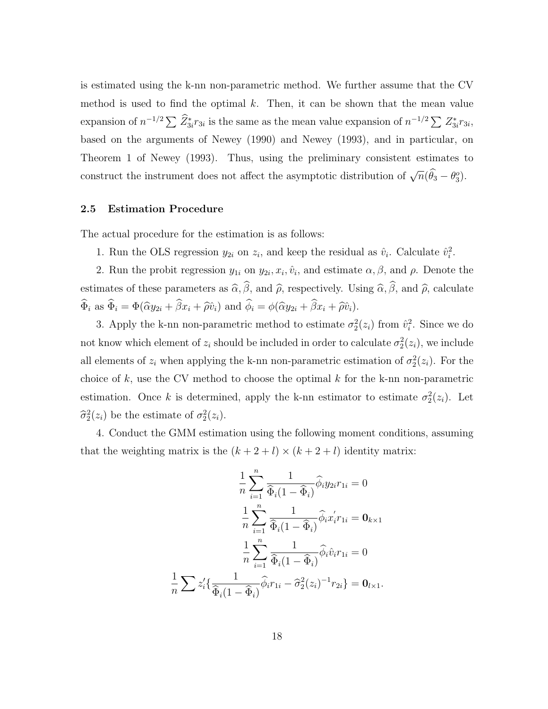is estimated using the k-nn non-parametric method. We further assume that the CV method is used to find the optimal  $k$ . Then, it can be shown that the mean value expansion of  $n^{-1/2} \sum \tilde{Z}_{3i}^* r_{3i}$  is the same as the mean value expansion of  $n^{-1/2} \sum Z_{3i}^* r_{3i}$ , based on the arguments of Newey (1990) and Newey (1993), and in particular, on Theorem 1 of Newey (1993). Thus, using the preliminary consistent estimates to construct the instrument does not affect the asymptotic distribution of  $\sqrt{n}(\hat{\theta}_3 - \theta_3)$ .

### 2.5 Estimation Procedure

The actual procedure for the estimation is as follows:

1. Run the OLS regression  $y_{2i}$  on  $z_i$ , and keep the residual as  $\hat{v}_i$ . Calculate  $\hat{v}_i^2$ .

2. Run the probit regression  $y_{1i}$  on  $y_{2i}, x_i, \hat{v}_i$ , and estimate  $\alpha, \beta$ , and  $\rho$ . Denote the estimates of these parameters as  $\widehat{\alpha}$ ,  $\widehat{\beta}$ , and  $\widehat{\rho}$ , respectively. Using  $\widehat{\alpha}$ ,  $\widehat{\beta}$ , and  $\widehat{\rho}$ , calculate  $\widehat{\Phi}_i$  as  $\widehat{\Phi}_i = \Phi(\widehat{\alpha}y_{2i} + \widehat{\beta}x_i + \widehat{\rho}\widehat{v}_i)$  and  $\widehat{\phi}_i = \phi(\widehat{\alpha}y_{2i} + \widehat{\beta}x_i + \widehat{\rho}\widehat{v}_i)$ .

3. Apply the k-nn non-parametric method to estimate  $\sigma_2^2(z_i)$  from  $\hat{v}_i^2$ . Since we do not know which element of  $z_i$  should be included in order to calculate  $\sigma_2^2(z_i)$ , we include all elements of  $z_i$  when applying the k-nn non-parametric estimation of  $\sigma_2^2(z_i)$ . For the choice of  $k$ , use the CV method to choose the optimal  $k$  for the k-nn non-parametric estimation. Once k is determined, apply the k-nn estimator to estimate  $\sigma_2^2(z_i)$ . Let  $\widehat{\sigma}_2^2(z_i)$  be the estimate of  $\sigma_2^2(z_i)$ .

4. Conduct the GMM estimation using the following moment conditions, assuming that the weighting matrix is the  $(k+2+l)\times (k+2+l)$  identity matrix:

$$
\frac{1}{n} \sum_{i=1}^{n} \frac{1}{\widehat{\Phi}_{i}(1-\widehat{\Phi}_{i})} \widehat{\phi}_{i} y_{2i} r_{1i} = 0
$$

$$
\frac{1}{n} \sum_{i=1}^{n} \frac{1}{\widehat{\Phi}_{i}(1-\widehat{\Phi}_{i})} \widehat{\phi}_{i} x_{i}^{\prime} r_{1i} = \mathbf{0}_{k \times 1}
$$

$$
\frac{1}{n} \sum_{i=1}^{n} \frac{1}{\widehat{\Phi}_{i}(1-\widehat{\Phi}_{i})} \widehat{\phi}_{i} \widehat{v}_{i} r_{1i} = 0
$$

$$
\frac{1}{n} \sum_{i} z_{i}^{\prime} \{ \frac{1}{\widehat{\Phi}_{i}(1-\widehat{\Phi}_{i})} \widehat{\phi}_{i} r_{1i} - \widehat{\sigma}_{2}^{2}(z_{i})^{-1} r_{2i} \} = \mathbf{0}_{l \times 1}.
$$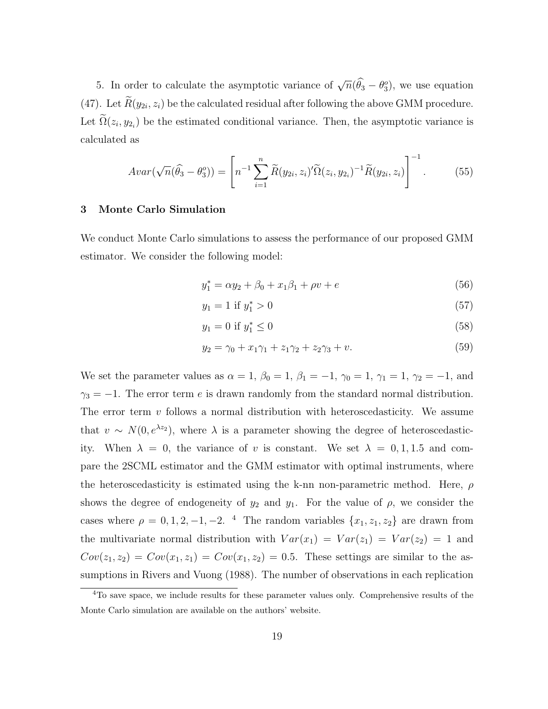5. In order to calculate the asymptotic variance of  $\sqrt{n}(\widehat{\theta}_3 - \theta_3)$ , we use equation (47). Let  $R(y_{2i}, z_i)$  be the calculated residual after following the above GMM procedure. Let  $\Omega(z_i, y_{2_i})$  be the estimated conditional variance. Then, the asymptotic variance is calculated as

$$
Avar(\sqrt{n}(\hat{\theta}_3 - \theta_3^o)) = \left[ n^{-1} \sum_{i=1}^n \widetilde{R}(y_{2i}, z_i)' \widetilde{\Omega}(z_i, y_{2i})^{-1} \widetilde{R}(y_{2i}, z_i) \right]^{-1}.
$$
 (55)

#### 3 Monte Carlo Simulation

We conduct Monte Carlo simulations to assess the performance of our proposed GMM estimator. We consider the following model:

$$
y_1^* = \alpha y_2 + \beta_0 + x_1 \beta_1 + \rho v + e \tag{56}
$$

$$
y_1 = 1 \text{ if } y_1^* > 0 \tag{57}
$$

$$
y_1 = 0 \text{ if } y_1^* \le 0 \tag{58}
$$

$$
y_2 = \gamma_0 + x_1 \gamma_1 + z_1 \gamma_2 + z_2 \gamma_3 + v. \tag{59}
$$

We set the parameter values as  $\alpha = 1$ ,  $\beta_0 = 1$ ,  $\beta_1 = -1$ ,  $\gamma_0 = 1$ ,  $\gamma_1 = 1$ ,  $\gamma_2 = -1$ , and  $\gamma_3 = -1$ . The error term e is drawn randomly from the standard normal distribution. The error term  $v$  follows a normal distribution with heteroscedasticity. We assume that  $v \sim N(0, e^{\lambda z_2})$ , where  $\lambda$  is a parameter showing the degree of heteroscedasticity. When  $\lambda = 0$ , the variance of v is constant. We set  $\lambda = 0, 1, 1.5$  and compare the 2SCML estimator and the GMM estimator with optimal instruments, where the heteroscedasticity is estimated using the k-nn non-parametric method. Here,  $\rho$ shows the degree of endogeneity of  $y_2$  and  $y_1$ . For the value of  $\rho$ , we consider the cases where  $\rho = 0, 1, 2, -1, -2$ . <sup>4</sup> The random variables  $\{x_1, z_1, z_2\}$  are drawn from the multivariate normal distribution with  $Var(x_1) = Var(z_1) = Var(z_2) = 1$  and  $Cov(z_1, z_2) = Cov(x_1, z_1) = Cov(x_1, z_2) = 0.5$ . These settings are similar to the assumptions in Rivers and Vuong (1988). The number of observations in each replication

<sup>&</sup>lt;sup>4</sup>To save space, we include results for these parameter values only. Comprehensive results of the Monte Carlo simulation are available on the authors' website.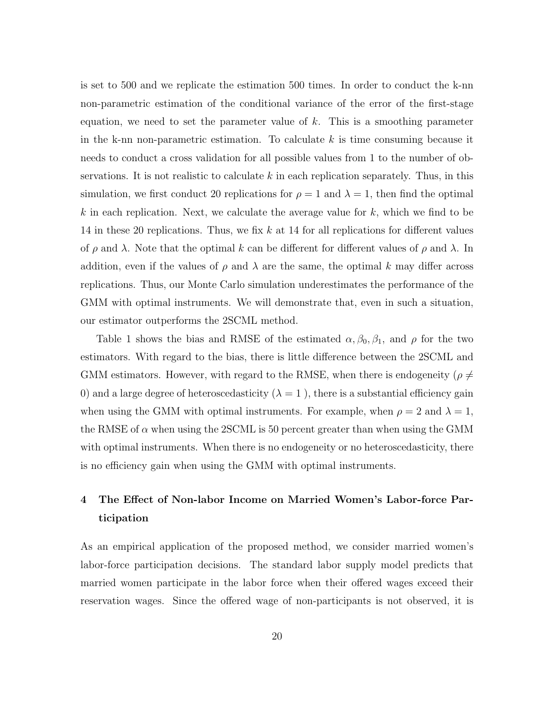is set to 500 and we replicate the estimation 500 times. In order to conduct the k-nn non-parametric estimation of the conditional variance of the error of the first-stage equation, we need to set the parameter value of  $k$ . This is a smoothing parameter in the k-nn non-parametric estimation. To calculate  $k$  is time consuming because it needs to conduct a cross validation for all possible values from 1 to the number of observations. It is not realistic to calculate  $k$  in each replication separately. Thus, in this simulation, we first conduct 20 replications for  $\rho = 1$  and  $\lambda = 1$ , then find the optimal k in each replication. Next, we calculate the average value for k, which we find to be 14 in these 20 replications. Thus, we fix  $k$  at 14 for all replications for different values of  $\rho$  and  $\lambda$ . Note that the optimal k can be different for different values of  $\rho$  and  $\lambda$ . In addition, even if the values of  $\rho$  and  $\lambda$  are the same, the optimal k may differ across replications. Thus, our Monte Carlo simulation underestimates the performance of the GMM with optimal instruments. We will demonstrate that, even in such a situation, our estimator outperforms the 2SCML method.

Table 1 shows the bias and RMSE of the estimated  $\alpha, \beta_0, \beta_1$ , and  $\rho$  for the two estimators. With regard to the bias, there is little difference between the 2SCML and GMM estimators. However, with regard to the RMSE, when there is endogeneity ( $\rho \neq$ 0) and a large degree of heteroscedasticity  $(\lambda = 1)$ , there is a substantial efficiency gain when using the GMM with optimal instruments. For example, when  $\rho = 2$  and  $\lambda = 1$ , the RMSE of  $\alpha$  when using the 2SCML is 50 percent greater than when using the GMM with optimal instruments. When there is no endogeneity or no heteroscedasticity, there is no efficiency gain when using the GMM with optimal instruments.

### 4 The Effect of Non-labor Income on Married Women's Labor-force Participation

As an empirical application of the proposed method, we consider married women's labor-force participation decisions. The standard labor supply model predicts that married women participate in the labor force when their offered wages exceed their reservation wages. Since the offered wage of non-participants is not observed, it is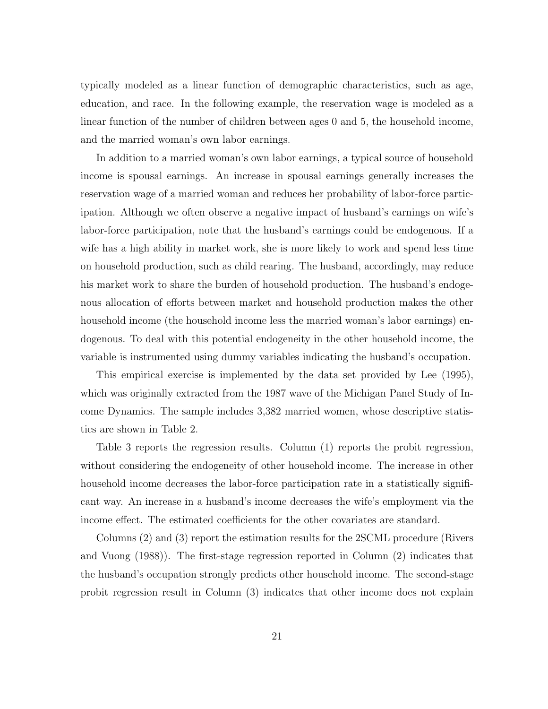typically modeled as a linear function of demographic characteristics, such as age, education, and race. In the following example, the reservation wage is modeled as a linear function of the number of children between ages 0 and 5, the household income, and the married woman's own labor earnings.

In addition to a married woman's own labor earnings, a typical source of household income is spousal earnings. An increase in spousal earnings generally increases the reservation wage of a married woman and reduces her probability of labor-force participation. Although we often observe a negative impact of husband's earnings on wife's labor-force participation, note that the husband's earnings could be endogenous. If a wife has a high ability in market work, she is more likely to work and spend less time on household production, such as child rearing. The husband, accordingly, may reduce his market work to share the burden of household production. The husband's endogenous allocation of efforts between market and household production makes the other household income (the household income less the married woman's labor earnings) endogenous. To deal with this potential endogeneity in the other household income, the variable is instrumented using dummy variables indicating the husband's occupation.

This empirical exercise is implemented by the data set provided by Lee (1995), which was originally extracted from the 1987 wave of the Michigan Panel Study of Income Dynamics. The sample includes 3,382 married women, whose descriptive statistics are shown in Table 2.

Table 3 reports the regression results. Column (1) reports the probit regression, without considering the endogeneity of other household income. The increase in other household income decreases the labor-force participation rate in a statistically significant way. An increase in a husband's income decreases the wife's employment via the income effect. The estimated coefficients for the other covariates are standard.

Columns (2) and (3) report the estimation results for the 2SCML procedure (Rivers and Vuong (1988)). The first-stage regression reported in Column (2) indicates that the husband's occupation strongly predicts other household income. The second-stage probit regression result in Column (3) indicates that other income does not explain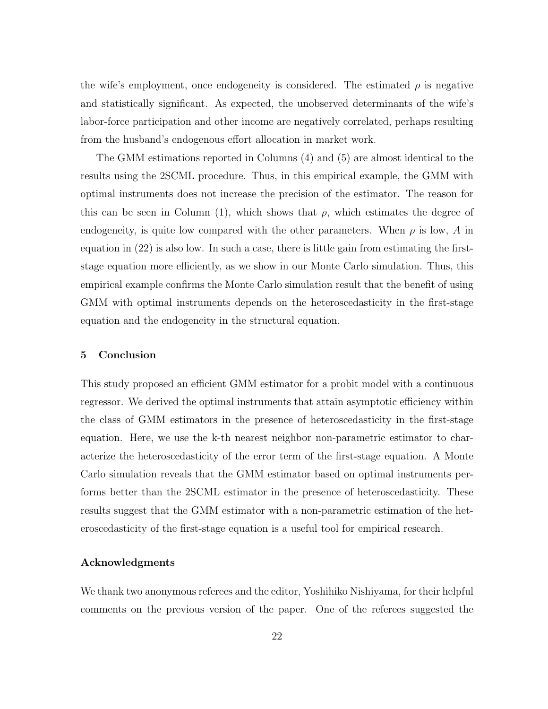the wife's employment, once endogeneity is considered. The estimated  $\rho$  is negative and statistically significant. As expected, the unobserved determinants of the wife's labor-force participation and other income are negatively correlated, perhaps resulting from the husband's endogenous effort allocation in market work.

The GMM estimations reported in Columns (4) and (5) are almost identical to the results using the 2SCML procedure. Thus, in this empirical example, the GMM with optimal instruments does not increase the precision of the estimator. The reason for this can be seen in Column (1), which shows that  $\rho$ , which estimates the degree of endogeneity, is quite low compared with the other parameters. When  $\rho$  is low, A in equation in (22) is also low. In such a case, there is little gain from estimating the firststage equation more efficiently, as we show in our Monte Carlo simulation. Thus, this empirical example confirms the Monte Carlo simulation result that the benefit of using GMM with optimal instruments depends on the heteroscedasticity in the first-stage equation and the endogeneity in the structural equation.

### 5 Conclusion

This study proposed an efficient GMM estimator for a probit model with a continuous regressor. We derived the optimal instruments that attain asymptotic efficiency within the class of GMM estimators in the presence of heteroscedasticity in the first-stage equation. Here, we use the k-th nearest neighbor non-parametric estimator to characterize the heteroscedasticity of the error term of the first-stage equation. A Monte Carlo simulation reveals that the GMM estimator based on optimal instruments performs better than the 2SCML estimator in the presence of heteroscedasticity. These results suggest that the GMM estimator with a non-parametric estimation of the heteroscedasticity of the first-stage equation is a useful tool for empirical research.

### Acknowledgments

We thank two anonymous referees and the editor, Yoshihiko Nishiyama, for their helpful comments on the previous version of the paper. One of the referees suggested the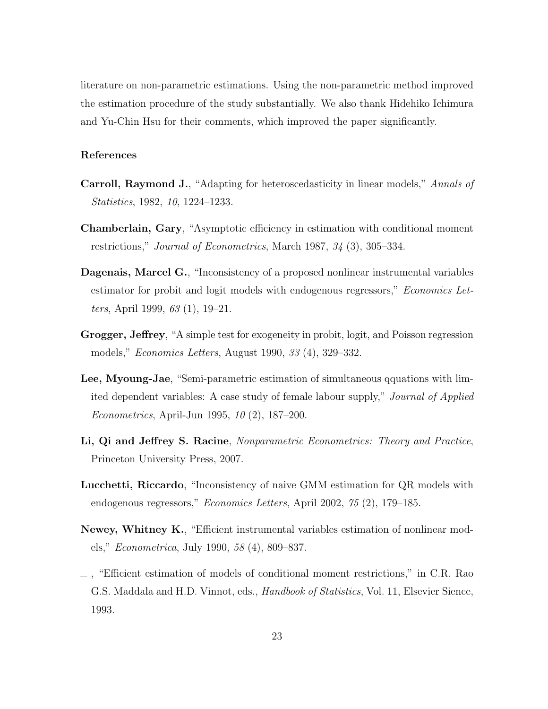literature on non-parametric estimations. Using the non-parametric method improved the estimation procedure of the study substantially. We also thank Hidehiko Ichimura and Yu-Chin Hsu for their comments, which improved the paper significantly.

### References

- Carroll, Raymond J., "Adapting for heteroscedasticity in linear models," Annals of Statistics, 1982, 10, 1224–1233.
- Chamberlain, Gary, "Asymptotic efficiency in estimation with conditional moment restrictions," Journal of Econometrics, March 1987, 34 (3), 305–334.
- Dagenais, Marcel G., "Inconsistency of a proposed nonlinear instrumental variables estimator for probit and logit models with endogenous regressors," *Economics Let*ters, April 1999, 63 (1), 19–21.
- Grogger, Jeffrey, "A simple test for exogeneity in probit, logit, and Poisson regression models," Economics Letters, August 1990, 33 (4), 329–332.
- Lee, Myoung-Jae, "Semi-parametric estimation of simultaneous qquations with limited dependent variables: A case study of female labour supply," Journal of Applied Econometrics, April-Jun 1995, 10 (2), 187–200.
- Li, Qi and Jeffrey S. Racine, Nonparametric Econometrics: Theory and Practice, Princeton University Press, 2007.
- Lucchetti, Riccardo, "Inconsistency of naive GMM estimation for QR models with endogenous regressors," Economics Letters, April 2002, 75 (2), 179–185.
- Newey, Whitney K., "Efficient instrumental variables estimation of nonlinear models," Econometrica, July 1990, 58 (4), 809–837.
- , "Efficient estimation of models of conditional moment restrictions," in C.R. Rao G.S. Maddala and H.D. Vinnot, eds., *Handbook of Statistics*, Vol. 11, Elsevier Sience, 1993.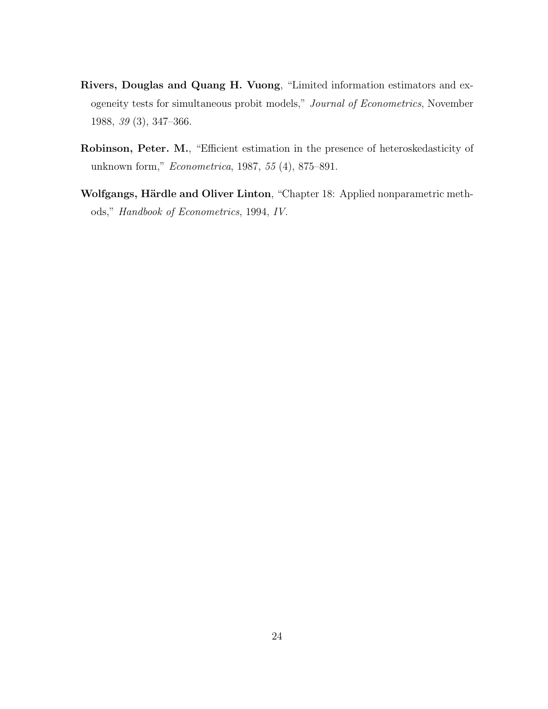- Rivers, Douglas and Quang H. Vuong, "Limited information estimators and exogeneity tests for simultaneous probit models," Journal of Econometrics, November 1988, 39 (3), 347–366.
- Robinson, Peter. M., "Efficient estimation in the presence of heteroskedasticity of unknown form," Econometrica, 1987, 55 (4), 875–891.
- Wolfgangs, Härdle and Oliver Linton, "Chapter 18: Applied nonparametric methods," Handbook of Econometrics, 1994, IV.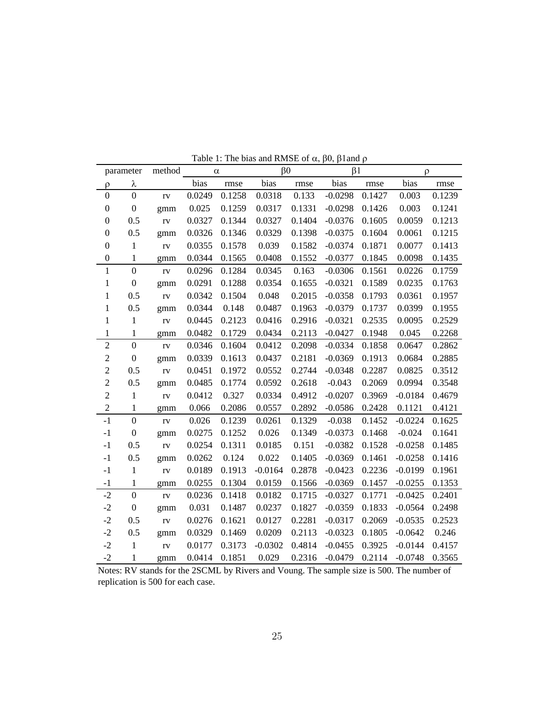|                  | parameter        | method |        | $\alpha$ | $\beta$ <sup>0</sup> |        | $\beta$ 1 |        | ρ         |        |
|------------------|------------------|--------|--------|----------|----------------------|--------|-----------|--------|-----------|--------|
| ρ                | λ                |        | bias   | rmse     | bias                 | rmse   | bias      | rmse   | bias      | rmse   |
| $\overline{0}$   | $\boldsymbol{0}$ | rv     | 0.0249 | 0.1258   | 0.0318               | 0.133  | $-0.0298$ | 0.1427 | 0.003     | 0.1239 |
| $\boldsymbol{0}$ | $\boldsymbol{0}$ | gmm    | 0.025  | 0.1259   | 0.0317               | 0.1331 | $-0.0298$ | 0.1426 | 0.003     | 0.1241 |
| $\boldsymbol{0}$ | 0.5              | rv     | 0.0327 | 0.1344   | 0.0327               | 0.1404 | $-0.0376$ | 0.1605 | 0.0059    | 0.1213 |
| $\boldsymbol{0}$ | 0.5              | gmm    | 0.0326 | 0.1346   | 0.0329               | 0.1398 | $-0.0375$ | 0.1604 | 0.0061    | 0.1215 |
| $\boldsymbol{0}$ | $\mathbf{1}$     | rv     | 0.0355 | 0.1578   | 0.039                | 0.1582 | $-0.0374$ | 0.1871 | 0.0077    | 0.1413 |
| $\boldsymbol{0}$ | $\mathbf 1$      | gmm    | 0.0344 | 0.1565   | 0.0408               | 0.1552 | $-0.0377$ | 0.1845 | 0.0098    | 0.1435 |
| $\mathbf{1}$     | $\overline{0}$   | rv     | 0.0296 | 0.1284   | 0.0345               | 0.163  | $-0.0306$ | 0.1561 | 0.0226    | 0.1759 |
| $\,1$            | $\boldsymbol{0}$ | gmm    | 0.0291 | 0.1288   | 0.0354               | 0.1655 | $-0.0321$ | 0.1589 | 0.0235    | 0.1763 |
| 1                | 0.5              | rv     | 0.0342 | 0.1504   | 0.048                | 0.2015 | $-0.0358$ | 0.1793 | 0.0361    | 0.1957 |
| $\mathbf 1$      | 0.5              | gmm    | 0.0344 | 0.148    | 0.0487               | 0.1963 | $-0.0379$ | 0.1737 | 0.0399    | 0.1955 |
| $\mathbf{1}$     | $\mathbf{1}$     | rv     | 0.0445 | 0.2123   | 0.0416               | 0.2916 | $-0.0321$ | 0.2535 | 0.0095    | 0.2529 |
| 1                | $\mathbf{1}$     | gmm    | 0.0482 | 0.1729   | 0.0434               | 0.2113 | $-0.0427$ | 0.1948 | 0.045     | 0.2268 |
| $\sqrt{2}$       | $\overline{0}$   | rv     | 0.0346 | 0.1604   | 0.0412               | 0.2098 | $-0.0334$ | 0.1858 | 0.0647    | 0.2862 |
| $\overline{c}$   | $\boldsymbol{0}$ | gmm    | 0.0339 | 0.1613   | 0.0437               | 0.2181 | $-0.0369$ | 0.1913 | 0.0684    | 0.2885 |
| $\overline{c}$   | 0.5              | rv     | 0.0451 | 0.1972   | 0.0552               | 0.2744 | $-0.0348$ | 0.2287 | 0.0825    | 0.3512 |
| $\overline{c}$   | 0.5              | gmm    | 0.0485 | 0.1774   | 0.0592               | 0.2618 | $-0.043$  | 0.2069 | 0.0994    | 0.3548 |
| $\overline{c}$   | $\mathbf{1}$     | rv     | 0.0412 | 0.327    | 0.0334               | 0.4912 | $-0.0207$ | 0.3969 | $-0.0184$ | 0.4679 |
| $\sqrt{2}$       | $\mathbf{1}$     | gmm    | 0.066  | 0.2086   | 0.0557               | 0.2892 | $-0.0586$ | 0.2428 | 0.1121    | 0.4121 |
| $-1$             | $\mathbf 0$      | rv     | 0.026  | 0.1239   | 0.0261               | 0.1329 | $-0.038$  | 0.1452 | $-0.0224$ | 0.1625 |
| $-1$             | $\boldsymbol{0}$ | gmm    | 0.0275 | 0.1252   | 0.026                | 0.1349 | $-0.0373$ | 0.1468 | $-0.024$  | 0.1641 |
| $-1$             | 0.5              | rv     | 0.0254 | 0.1311   | 0.0185               | 0.151  | $-0.0382$ | 0.1528 | $-0.0258$ | 0.1485 |
| $-1$             | 0.5              | gmm    | 0.0262 | 0.124    | 0.022                | 0.1405 | $-0.0369$ | 0.1461 | $-0.0258$ | 0.1416 |
| $-1$             | $\mathbf{1}$     | rv     | 0.0189 | 0.1913   | $-0.0164$            | 0.2878 | $-0.0423$ | 0.2236 | $-0.0199$ | 0.1961 |
| $-1$             | $\mathbf{1}$     | gmm    | 0.0255 | 0.1304   | 0.0159               | 0.1566 | $-0.0369$ | 0.1457 | $-0.0255$ | 0.1353 |
| $-2$             | $\boldsymbol{0}$ | rv     | 0.0236 | 0.1418   | 0.0182               | 0.1715 | $-0.0327$ | 0.1771 | $-0.0425$ | 0.2401 |
| $-2$             | $\boldsymbol{0}$ | gmm    | 0.031  | 0.1487   | 0.0237               | 0.1827 | $-0.0359$ | 0.1833 | $-0.0564$ | 0.2498 |
| $-2$             | 0.5              | rv     | 0.0276 | 0.1621   | 0.0127               | 0.2281 | $-0.0317$ | 0.2069 | $-0.0535$ | 0.2523 |
| $-2$             | 0.5              | gmm    | 0.0329 | 0.1469   | 0.0209               | 0.2113 | $-0.0323$ | 0.1805 | $-0.0642$ | 0.246  |
| $-2$             | $\mathbf{1}$     | rv     | 0.0177 | 0.3173   | $-0.0302$            | 0.4814 | $-0.0455$ | 0.3925 | $-0.0144$ | 0.4157 |
| $-2$             | $\mathbf{1}$     | gmm    | 0.0414 | 0.1851   | 0.029                | 0.2316 | $-0.0479$ | 0.2114 | $-0.0748$ | 0.3565 |

Table 1: The bias and RMSE of  $\alpha$ ,  $\beta$ 0,  $\beta$ 1 and  $\rho$ 

Notes: RV stands for the 2SCML by Rivers and Voung. The sample size is 500. The number of replication is 500 for each case.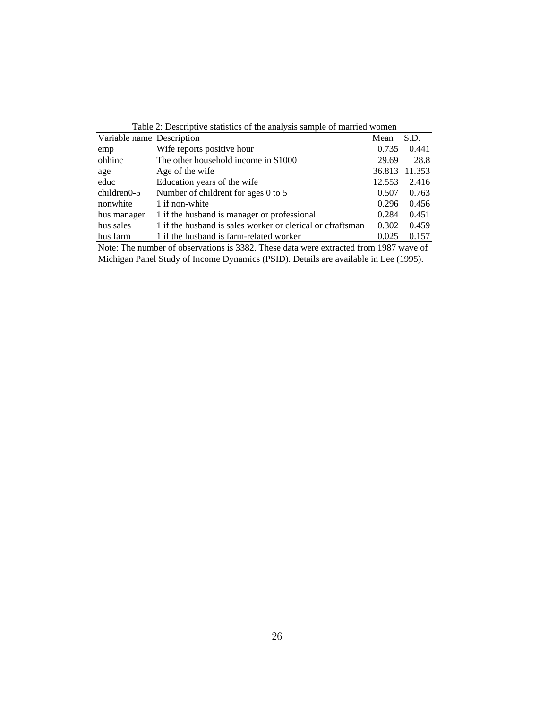| Table 2: Descriptive statistics of the analysis sample of married women               |                                                            |        |        |  |  |  |
|---------------------------------------------------------------------------------------|------------------------------------------------------------|--------|--------|--|--|--|
| Variable name Description<br>S.D.<br>Mean                                             |                                                            |        |        |  |  |  |
| emp                                                                                   | Wife reports positive hour                                 | 0.735  | 0.441  |  |  |  |
| ohhinc                                                                                | The other household income in \$1000                       | 29.69  | 28.8   |  |  |  |
| age                                                                                   | Age of the wife                                            | 36.813 | 11.353 |  |  |  |
| educ                                                                                  | Education years of the wife                                | 12.553 | 2.416  |  |  |  |
| $children0-5$                                                                         | Number of childrent for ages 0 to 5                        | 0.507  | 0.763  |  |  |  |
| nonwhite                                                                              | 1 if non-white                                             | 0.296  | 0.456  |  |  |  |
| hus manager                                                                           | 1 if the husband is manager or professional                | 0.284  | 0.451  |  |  |  |
| hus sales                                                                             | 1 if the husband is sales worker or clerical or cfraftsman | 0.302  | 0.459  |  |  |  |
| hus farm                                                                              | 1 if the husband is farm-related worker                    | 0.025  | 0.157  |  |  |  |
| Note: The number of observations is 3382. These data were extracted from 1987 wave of |                                                            |        |        |  |  |  |

Michigan Panel Study of Income Dynamics (PSID). Details are available in Lee (1995).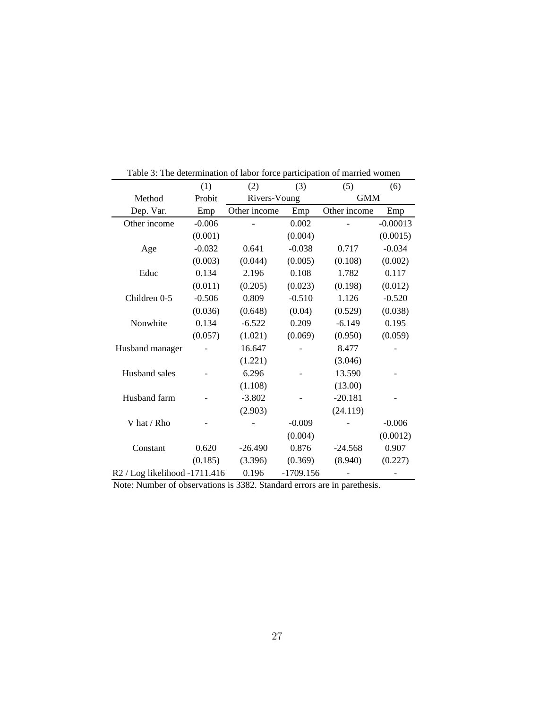|                               | (1)      | (2)          | (3)         | (5)          | (6)        |  |
|-------------------------------|----------|--------------|-------------|--------------|------------|--|
| Method                        | Probit   | Rivers-Voung |             | <b>GMM</b>   |            |  |
| Dep. Var.                     | Emp      | Other income | Emp         | Other income | Emp        |  |
| Other income                  | $-0.006$ |              | 0.002       |              | $-0.00013$ |  |
|                               | (0.001)  |              | (0.004)     |              | (0.0015)   |  |
| Age                           | $-0.032$ | 0.641        | $-0.038$    | 0.717        | $-0.034$   |  |
|                               | (0.003)  | (0.044)      | (0.005)     | (0.108)      | (0.002)    |  |
| Educ                          | 0.134    | 2.196        | 0.108       | 1.782        | 0.117      |  |
|                               | (0.011)  | (0.205)      | (0.023)     | (0.198)      | (0.012)    |  |
| Children 0-5                  | $-0.506$ | 0.809        | $-0.510$    | 1.126        | $-0.520$   |  |
|                               | (0.036)  | (0.648)      | (0.04)      | (0.529)      | (0.038)    |  |
| Nonwhite                      | 0.134    | $-6.522$     | 0.209       | $-6.149$     | 0.195      |  |
|                               | (0.057)  | (1.021)      | (0.069)     | (0.950)      | (0.059)    |  |
| Husband manager               |          | 16.647       |             | 8.477        |            |  |
|                               |          | (1.221)      |             | (3.046)      |            |  |
| Husband sales                 |          | 6.296        |             | 13.590       |            |  |
|                               |          | (1.108)      |             | (13.00)      |            |  |
| Husband farm                  |          | $-3.802$     |             | $-20.181$    |            |  |
|                               |          | (2.903)      |             | (24.119)     |            |  |
| V hat / Rho                   |          |              | $-0.009$    |              | $-0.006$   |  |
|                               |          |              | (0.004)     |              | (0.0012)   |  |
| Constant                      | 0.620    | $-26.490$    | 0.876       | $-24.568$    | 0.907      |  |
|                               | (0.185)  | (3.396)      | (0.369)     | (8.940)      | (0.227)    |  |
| R2 / Log likelihood -1711.416 |          | 0.196        | $-1709.156$ |              |            |  |

Table 3: The determination of labor force participation of married women

Note: Number of observations is 3382. Standard errors are in parethesis.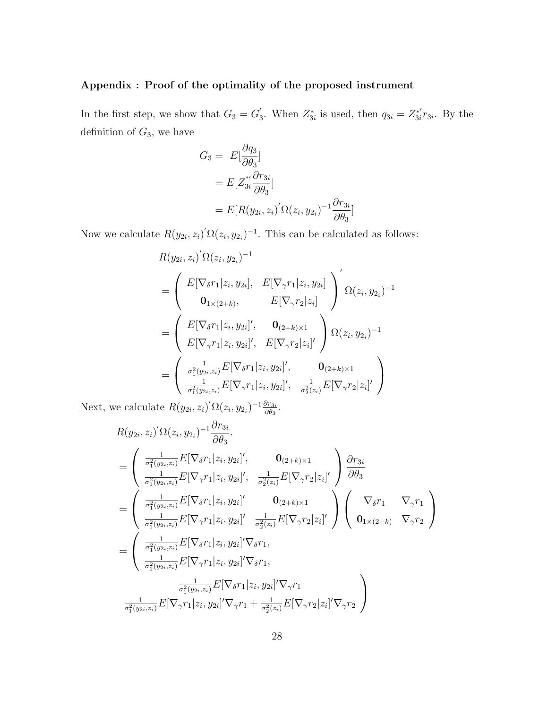### Appendix : Proof of the optimality of the proposed instrument

In the first step, we show that  $G_3 = G_3'$ <sup>'</sup><sub>3</sub>. When  $Z_{3i}^*$  is used, then  $q_{3i} = Z_{3i}^{*'}$  $x_{3i}^*r_{3i}$ . By the definition of  $G_3$ , we have

$$
G_3 = E\left[\frac{\partial q_3}{\partial \theta_3}\right]
$$
  
=  $E[Z_{3i}^{*\prime} \frac{\partial r_{3i}}{\partial \theta_3}]$   
=  $E[R(y_{2i}, z_i)'\Omega(z_i, y_{2i})^{-1} \frac{\partial r_{3i}}{\partial \theta_3}]$ 

Now we calculate  $R(y_{2i}, z_i)' \Omega(z_i, y_{2i})^{-1}$ . This can be calculated as follows:

$$
R(y_{2i}, z_i)' \Omega(z_i, y_{2i})^{-1}
$$
  
= 
$$
\begin{pmatrix} E[\nabla_{\delta}r_1 | z_i, y_{2i}], E[\nabla_{\gamma}r_1 | z_i, y_{2i}] \\ 0_{1 \times (2+k)}, E[\nabla_{\gamma}r_2 | z_i] \end{pmatrix} \Omega(z_i, y_{2i})^{-1}
$$
  
= 
$$
\begin{pmatrix} E[\nabla_{\delta}r_1 | z_i, y_{2i}]', \mathbf{0}_{(2+k) \times 1} \\ E[\nabla_{\gamma}r_1 | z_i, y_{2i}]', E[\nabla_{\gamma}r_2 | z_i]' \end{pmatrix} \Omega(z_i, y_{2i})^{-1}
$$
  
= 
$$
\begin{pmatrix} \frac{1}{\sigma_1^2(y_{2i}, z_i)} E[\nabla_{\delta}r_1 | z_i, y_{2i}]', \mathbf{0}_{(2+k) \times 1} \\ \frac{1}{\sigma_2^2(y_{2i}, z_i)} E[\nabla_{\gamma}r_1 | z_i, y_{2i}]', \frac{1}{\sigma_2^2(z_i)} E[\nabla_{\gamma}r_2 | z_i]' \end{pmatrix}
$$

Next, we calculate  $R(y_{2i}, z_i)' \Omega(z_i, y_{2_i})^{-1} \frac{\partial r_{3i}}{\partial \theta_3}$  $\frac{\partial r_{3i}}{\partial \theta_3}.$ 

$$
R(y_{2i}, z_i)' \Omega(z_i, y_{2i})^{-1} \frac{\partial r_{3i}}{\partial \theta_3}.
$$
  
\n
$$
= \left( \begin{array}{cc} \frac{1}{\sigma_1^2(y_{2i}, z_i)} E[\nabla_{\delta} r_1 | z_i, y_{2i}]', & \mathbf{0}_{(2+k)\times 1} \\ \frac{1}{\sigma_1^2(y_{2i}, z_i)} E[\nabla_{\gamma} r_1 | z_i, y_{2i}]', & \frac{1}{\sigma_2^2(z_i)} E[\nabla_{\gamma} r_2 | z_i]' \end{array} \right) \frac{\partial r_{3i}}{\partial \theta_3}
$$
  
\n
$$
= \left( \begin{array}{cc} \frac{1}{\sigma_1^2(y_{2i}, z_i)} E[\nabla_{\delta} r_1 | z_i, y_{2i}]', & \mathbf{0}_{(2+k)\times 1} \\ \frac{1}{\sigma_1^2(y_{2i}, z_i)} E[\nabla_{\gamma} r_1 | z_i, y_{2i}]', & \frac{1}{\sigma_2^2(z_i)} E[\nabla_{\gamma} r_2 | z_i]' \end{array} \right) \left( \begin{array}{cc} \nabla_{\delta} r_1 & \nabla_{\gamma} r_1 \\ \mathbf{0}_{1\times(2+k)} & \nabla_{\gamma} r_2 \end{array} \right)
$$
  
\n
$$
= \left( \begin{array}{cc} \frac{1}{\sigma_1^2(y_{2i}, z_i)} E[\nabla_{\delta} r_1 | z_i, y_{2i}]' \nabla_{\delta} r_1, & \frac{1}{\sigma_1^2(y_{2i}, z_i)} E[\nabla_{\gamma} r_1 | z_i, y_{2i}]' \nabla_{\gamma} r_1, & \frac{1}{\sigma_1^2(y_{2i}, z_i)} E[\nabla_{\gamma} r_1 | z_i, y_{2i}]' \nabla_{\gamma} r_1 + \frac{1}{\sigma_2^2(z_i)} E[\nabla_{\gamma} r_2 | z_i]' \nabla_{\gamma} r_2 \end{array} \right)
$$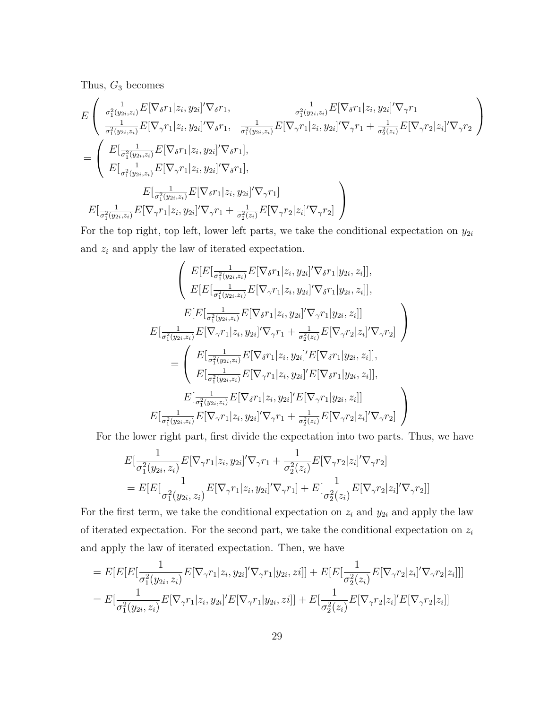Thus,  $G_3$  becomes

$$
E\left(\begin{array}{ll}\frac{1}{\sigma_{1}^{2}(y_{2i},z_{i})}E[\nabla_{\delta}r_{1}|z_{i},y_{2i}]'\nabla_{\delta}r_{1}, & \frac{1}{\sigma_{1}^{2}(y_{2i},z_{i})}E[\nabla_{\delta}r_{1}|z_{i},y_{2i}]'\nabla_{\gamma}r_{1} \\
\frac{1}{\sigma_{1}^{2}(y_{2i},z_{i})}E[\nabla_{\gamma}r_{1}|z_{i},y_{2i}]'\nabla_{\delta}r_{1}, & \frac{1}{\sigma_{1}^{2}(y_{2i},z_{i})}E[\nabla_{\gamma}r_{1}|z_{i},y_{2i}]'\nabla_{\gamma}r_{1} + \frac{1}{\sigma_{2}^{2}(z_{i})}E[\nabla_{\gamma}r_{2}|z_{i}]'\nabla_{\gamma}r_{2}\n\end{array}\right)
$$
\n
$$
= \left(\begin{array}{ll}\nE\left[\frac{1}{\sigma_{1}^{2}(y_{2i},z_{i})}E[\nabla_{\delta}r_{1}|z_{i},y_{2i}]'\nabla_{\delta}r_{1}\right], \\
E\left[\frac{1}{\sigma_{1}^{2}(y_{2i},z_{i})}E[\nabla_{\gamma}r_{1}|z_{i},y_{2i}]'\nabla_{\gamma}r_{1}\right], \\
E\left[\frac{1}{\sigma_{1}^{2}(y_{2i},z_{i})}E[\nabla_{\gamma}r_{1}|z_{i},y_{2i}]'\nabla_{\gamma}r_{1} + \frac{1}{\sigma_{2}^{2}(z_{i})}E[\nabla_{\gamma}r_{2}|z_{i}]'\nabla_{\gamma}r_{2}\right]\n\end{array}\right)
$$

For the top right, top left, lower left parts, we take the conditional expectation on  $y_{2i}$ and  $z_i$  and apply the law of iterated expectation.

$$
\begin{split}\n&\left(E[E[\frac{1}{\sigma_1^2(y_{2i},z_i)}E[\nabla_{\delta}r_1|z_i,y_{2i}]'\nabla_{\delta}r_1|y_{2i},z_i]], \\
&E[E[\frac{1}{\sigma_1^2(y_{2i},z_i)}E[\nabla_{\gamma}r_1|z_i,y_{2i}]'\nabla_{\delta}r_1|y_{2i},z_i]], \\
&E[E[\frac{1}{\sigma_1^2(y_{2i},z_i)}E[\nabla_{\delta}r_1|z_i,y_{2i}]'\nabla_{\gamma}r_1|y_{2i},z_i]] \\
&E[\frac{1}{\sigma_1^2(y_{2i},z_i)}E[\nabla_{\gamma}r_1|z_i,y_{2i}]'\nabla_{\gamma}r_1+\frac{1}{\sigma_2^2(z_i)}E[\nabla_{\gamma}r_2|z_i]'\nabla_{\gamma}r_2]\n\end{split}\right)\n\\ =\n\begin{pmatrix}\nE[\frac{1}{\sigma_1^2(y_{2i},z_i)}E[\nabla_{\delta}r_1|z_i,y_{2i}]'E[\nabla_{\delta}r_1|y_{2i},z_i]], \\
&E[\frac{1}{\sigma_1^2(y_{2i},z_i)}E[\nabla_{\delta}r_1|z_i,y_{2i}]'E[\nabla_{\gamma}r_1|y_{2i},z_i]], \\
&E[\frac{1}{\sigma_1^2(y_{2i},z_i)}E[\nabla_{\delta}r_1|z_i,y_{2i}]'E[\nabla_{\gamma}r_1|y_{2i},z_i]] \\
&E[\frac{1}{\sigma_1^2(y_{2i},z_i)}E[\nabla_{\gamma}r_1|z_i,y_{2i}]'\nabla_{\gamma}r_1+\frac{1}{\sigma_2^2(z_i)}E[\nabla_{\gamma}r_2|z_i]'\nabla_{\gamma}r_2]\n\end{split}
$$

For the lower right part, first divide the expectation into two parts. Thus, we have

$$
E\left[\frac{1}{\sigma_1^2(y_{2i}, z_i)} E[\nabla_\gamma r_1 | z_i, y_{2i}]'\nabla_\gamma r_1 + \frac{1}{\sigma_2^2(z_i)} E[\nabla_\gamma r_2 | z_i]'\nabla_\gamma r_2\right]
$$
  
= 
$$
E\left[E\left[\frac{1}{\sigma_1^2(y_{2i}, z_i)} E[\nabla_\gamma r_1 | z_i, y_{2i}]'\nabla_\gamma r_1\right] + E\left[\frac{1}{\sigma_2^2(z_i)} E[\nabla_\gamma r_2 | z_i]'\nabla_\gamma r_2\right]\right]
$$

For the first term, we take the conditional expectation on  $z_i$  and  $y_{2i}$  and apply the law of iterated expectation. For the second part, we take the conditional expectation on  $z_i$ and apply the law of iterated expectation. Then, we have

$$
= E[E[E\left[\frac{1}{\sigma_1^2(y_{2i}, z_i)} E[\nabla_\gamma r_1 | z_i, y_{2i}]'\nabla_\gamma r_1 | y_{2i}, z_i]\right] + E[E\left[\frac{1}{\sigma_2^2(z_i)} E[\nabla_\gamma r_2 | z_i]'\nabla_\gamma r_2 | z_i]\right]]
$$
  

$$
= E[\frac{1}{\sigma_1^2(y_{2i}, z_i)} E[\nabla_\gamma r_1 | z_i, y_{2i}]' E[\nabla_\gamma r_1 | y_{2i}, z_i]] + E[\frac{1}{\sigma_2^2(z_i)} E[\nabla_\gamma r_2 | z_i]' E[\nabla_\gamma r_2 | z_i]]
$$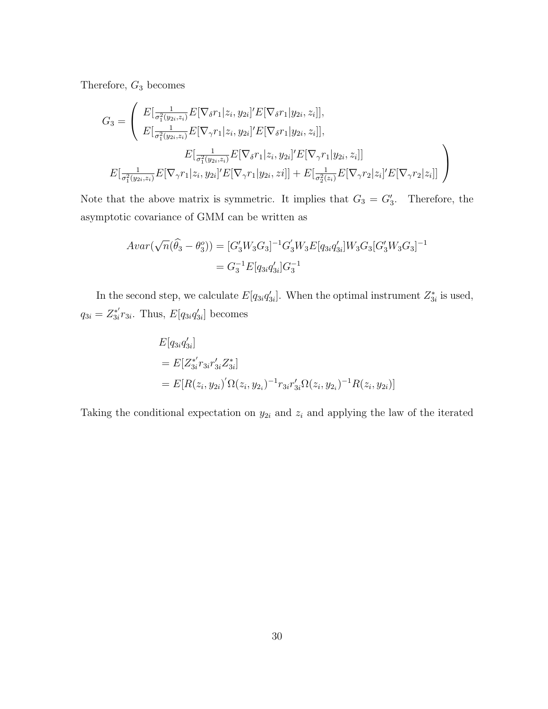Therefore, G<sup>3</sup> becomes

$$
G_{3} = \left( \begin{array}{c} E[\frac{1}{\sigma_{1}^{2}(y_{2i},z_{i})}E[\nabla_{\delta}r_{1}|z_{i},y_{2i}]^{\prime}E[\nabla_{\delta}r_{1}|y_{2i},z_{i}]],\\ E[\frac{1}{\sigma_{1}^{2}(y_{2i},z_{i})}E[\nabla_{\gamma}r_{1}|z_{i},y_{2i}]^{\prime}E[\nabla_{\delta}r_{1}|y_{2i},z_{i}]],\\ E[\frac{1}{\sigma_{1}^{2}(y_{2i},z_{i})}E[\nabla_{\delta}r_{1}|z_{i},y_{2i}]^{\prime}E[\nabla_{\gamma}r_{1}|y_{2i},z_{i}]]\\ E[\frac{1}{\sigma_{1}^{2}(y_{2i},z_{i})}E[\nabla_{\gamma}r_{1}|z_{i},y_{2i}]^{\prime}E[\nabla_{\gamma}r_{1}|y_{2i},zi]] + E[\frac{1}{\sigma_{2}^{2}(z_{i})}E[\nabla_{\gamma}r_{2}|z_{i}]^{\prime}E[\nabla_{\gamma}r_{2}|z_{i}]] \end{array} \right)
$$

Note that the above matrix is symmetric. It implies that  $G_3 = G'_3$ . Therefore, the asymptotic covariance of GMM can be written as

$$
Avar(\sqrt{n}(\widehat{\theta}_3 - \theta_3^o)) = [G'_3 W_3 G_3]^{-1} G'_3 W_3 E[q_{3i} q'_{3i}] W_3 G_3 [G'_3 W_3 G_3]^{-1}
$$
  
= 
$$
G_3^{-1} E[q_{3i} q'_{3i}] G_3^{-1}
$$

In the second step, we calculate  $E[q_{3i}q'_{3i}]$ . When the optimal instrument  $Z_{3i}^*$  is used,  $q_{3i} = Z^{*'}_{3i}$  $s_i^{*'}r_{3i}$ . Thus,  $E[q_{3i}q'_{3i}]$  becomes

$$
E[q_{3i}q'_{3i}]
$$
  
=  $E[Z_{3i}^{*'}r_{3i}r'_{3i}Z_{3i}^{*}]$   
=  $E[R(z_i, y_{2i})'\Omega(z_i, y_{2i})^{-1}r_{3i}r'_{3i}\Omega(z_i, y_{2i})^{-1}R(z_i, y_{2i})]$ 

Taking the conditional expectation on  $y_{2i}$  and  $z_i$  and applying the law of the iterated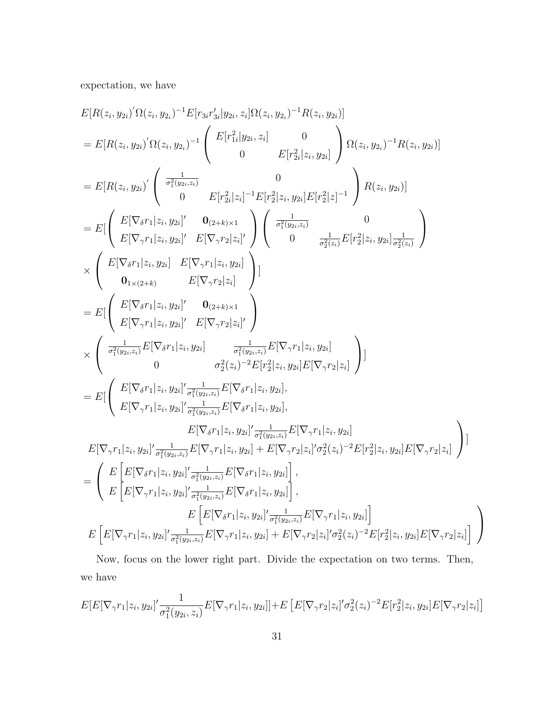expectation, we have

$$
E[R(z_i, y_{2i})'\Omega(z_i, y_{2i})^{-1}E[r_{3i}r'_{3i}|y_{2i}, z_i]\Omega(z_i, y_{2i})^{-1}R(z_i, y_{2i})]
$$
\n
$$
= E[R(z_i, y_{2i})'\Omega(z_i, y_{2i})^{-1}\begin{pmatrix} E[r_{1i}^2|y_{2i}, z_i] & 0 \\ 0 & E[r_{2i}^2|z_i, y_{2i}] \end{pmatrix} \Omega(z_i, y_{2i})^{-1}R(z_i, y_{2i})]
$$
\n
$$
= E[R(z_i, y_{2i})'\begin{pmatrix} \frac{1}{\sigma_1^2(y_{2i}, z_i)} & 0 \\ 0 & E[r_{2i}^2|z_i, y_{2i}] \end{pmatrix} \Omega(z_i, y_{2i})^{-1}R(z_i, y_{2i})]
$$
\n
$$
= E[\begin{pmatrix} E[\nabla_{\delta}r_1|z_i, y_{2i}]' & 0_{(2+k)\times 1} \\ E[\nabla_{\gamma}r_1|z_i, y_{2i}]' & E[\nabla_{\gamma}r_2|z_i]' \end{pmatrix} \begin{pmatrix} \frac{1}{\sigma_1^2(y_{2i}, z_i)} & 0 \\ 0 & \frac{1}{\sigma_2^2(z_i)} E[r_2^2|z_i, y_{2i}] \frac{1}{\sigma_2^2(z_i)} \end{pmatrix}
$$
\n
$$
\times \begin{pmatrix} E[\nabla_{\delta}r_1|z_i, y_{2i}] & E[\nabla_{\gamma}r_1|z_i, y_{2i}] \\ 0_{1\times (2+k)} & E[\nabla_{\gamma}r_2|z_i] \end{pmatrix}
$$
\n
$$
= E[\begin{pmatrix} E[\nabla_{\delta}r_1|z_i, y_{2i}]' & 0_{(2+k)\times 1} \\ E[\nabla_{\gamma}r_1|z_i, y_{2i}]' & E[\nabla_{\gamma}r_2|z_i] \end{pmatrix}]
$$
\n
$$
\times \begin{pmatrix} \frac{1}{\sigma_1^2(y_{2i}, z_i)} E[\nabla_{\delta}r_1|z_i, y_{2i}] \\ E[\nabla_{\gamma}r_1|z_i, y_{2i}]' & E[\nabla_{\gamma}r_2|z_i] \end{pmatrix}
$$
\n
$$
= E[\begin{pmatrix
$$

Now, focus on the lower right part. Divide the expectation on two terms. Then, we have

$$
E[E[\nabla_{\gamma}r_{1}|z_{i},y_{2i}]\frac{1}{\sigma_{1}^{2}(y_{2i},z_{i})}E[\nabla_{\gamma}r_{1}|z_{i},y_{2i}]]+E[E[\nabla_{\gamma}r_{2}|z_{i}]\sigma_{2}^{2}(z_{i})^{-2}E[r_{2}^{2}|z_{i},y_{2i}]E[\nabla_{\gamma}r_{2}|z_{i}]]
$$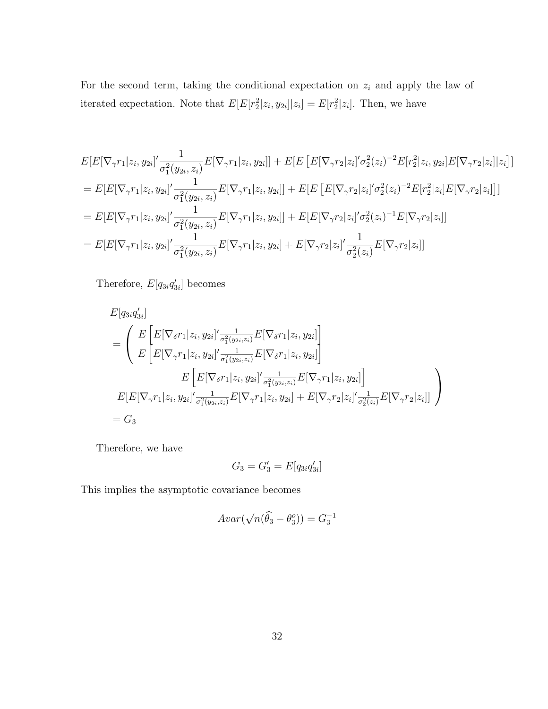For the second term, taking the conditional expectation on  $z_i$  and apply the law of iterated expectation. Note that  $E[E[r_2^2|z_i,y_{2i}]|z_i] = E[r_2^2|z_i]$ . Then, we have

$$
E[E[\nabla_{\gamma}r_{1}|z_{i},y_{2i}]'\frac{1}{\sigma_{1}^{2}(y_{2i},z_{i})}E[\nabla_{\gamma}r_{1}|z_{i},y_{2i}]] + E[E[E[\nabla_{\gamma}r_{2}|z_{i}]'\sigma_{2}^{2}(z_{i})^{-2}E[r_{2}^{2}|z_{i},y_{2i}]E[\nabla_{\gamma}r_{2}|z_{i}]|z_{i}]]
$$
\n
$$
= E[E[\nabla_{\gamma}r_{1}|z_{i},y_{2i}]'\frac{1}{\sigma_{1}^{2}(y_{2i},z_{i})}E[\nabla_{\gamma}r_{1}|z_{i},y_{2i}]] + E[E[E[\nabla_{\gamma}r_{2}|z_{i}]'\sigma_{2}^{2}(z_{i})^{-2}E[r_{2}^{2}|z_{i}]E[\nabla_{\gamma}r_{2}|z_{i}]]]
$$
\n
$$
= E[E[\nabla_{\gamma}r_{1}|z_{i},y_{2i}]'\frac{1}{\sigma_{1}^{2}(y_{2i},z_{i})}E[\nabla_{\gamma}r_{1}|z_{i},y_{2i}]] + E[E[\nabla_{\gamma}r_{2}|z_{i}]'\sigma_{2}^{2}(z_{i})^{-1}E[\nabla_{\gamma}r_{2}|z_{i}]]
$$
\n
$$
= E[E[\nabla_{\gamma}r_{1}|z_{i},y_{2i}]'\frac{1}{\sigma_{1}^{2}(y_{2i},z_{i})}E[\nabla_{\gamma}r_{1}|z_{i},y_{2i}] + E[\nabla_{\gamma}r_{2}|z_{i}]'\frac{1}{\sigma_{2}^{2}(z_{i})}E[\nabla_{\gamma}r_{2}|z_{i}]]
$$

Therefore,  $E[q_{3i}q'_{3i}]$  becomes

$$
E[q_{3i}q'_{3i}]
$$
  
\n
$$
= \left( \begin{array}{c} E\left[E[\nabla_{\delta}r_{1}|z_{i}, y_{2i}]'\frac{1}{\sigma_{1}^{2}(y_{2i}, z_{i})}E[\nabla_{\delta}r_{1}|z_{i}, y_{2i}]\right] \\ E\left[E[\nabla_{\gamma}r_{1}|z_{i}, y_{2i}]'\frac{1}{\sigma_{1}^{2}(y_{2i}, z_{i})}E[\nabla_{\delta}r_{1}|z_{i}, y_{2i}]\right] \end{array} \right]
$$
  
\n
$$
E\left[E[\nabla_{\delta}r_{1}|z_{i}, y_{2i}]'\frac{1}{\sigma_{1}^{2}(y_{2i}, z_{i})}E[\nabla_{\gamma}r_{1}|z_{i}, y_{2i}]\right]
$$
  
\n
$$
E[E[\nabla_{\gamma}r_{1}|z_{i}, y_{2i}]'\frac{1}{\sigma_{1}^{2}(y_{2i}, z_{i})}E[\nabla_{\gamma}r_{1}|z_{i}, y_{2i}] + E[\nabla_{\gamma}r_{2}|z_{i}]'\frac{1}{\sigma_{2}^{2}(z_{i})}E[\nabla_{\gamma}r_{2}|z_{i}]\right]
$$
  
\n
$$
= G_{3}
$$

Therefore, we have

$$
G_3 = G_3' = E[q_{3i}q_{3i}']
$$

This implies the asymptotic covariance becomes

$$
Avar(\sqrt{n}(\widehat{\theta}_3 - \theta_3^o)) = G_3^{-1}
$$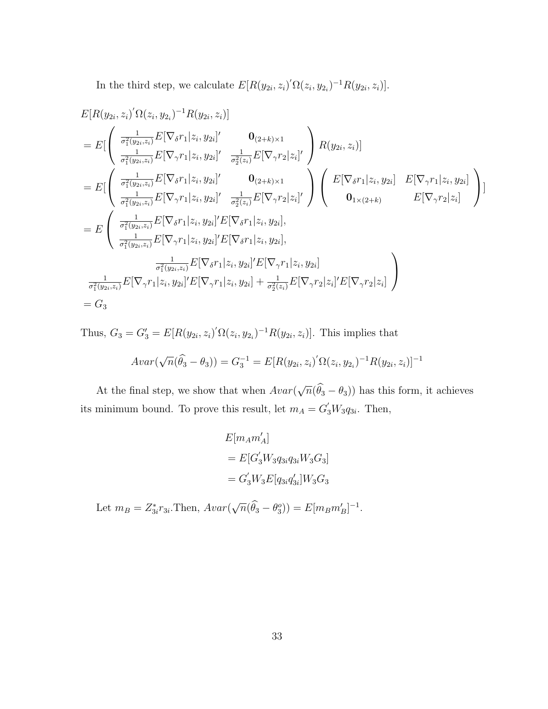In the third step, we calculate  $E[R(y_{2i}, z_i)'\Omega(z_i, y_{2i})^{-1}R(y_{2i}, z_i)].$ 

$$
E[R(y_{2i}, z_i)' \Omega(z_i, y_{2i})^{-1} R(y_{2i}, z_i)]
$$
  
\n
$$
= E\left[\begin{pmatrix} \frac{1}{\sigma_1^2(y_{2i}, z_i)} E[\nabla_{\delta} r_1 | z_i, y_{2i}]' & \mathbf{0}_{(2+k)\times 1} \\ \frac{1}{\sigma_1^2(y_{2i}, z_i)} E[\nabla_{\gamma} r_1 | z_i, y_{2i}]' & \frac{1}{\sigma_2^2(z_i)} E[\nabla_{\gamma} r_2 | z_i]' \end{pmatrix} R(y_{2i}, z_i)\right]
$$
  
\n
$$
= E\left[\begin{pmatrix} \frac{1}{\sigma_1^2(y_{2i}, z_i)} E[\nabla_{\delta} r_1 | z_i, y_{2i}]' & \mathbf{0}_{(2+k)\times 1} \\ \frac{1}{\sigma_1^2(y_{2i}, z_i)} E[\nabla_{\gamma} r_1 | z_i, y_{2i}]' & \frac{1}{\sigma_2^2(z_i)} E[\nabla_{\gamma} r_2 | z_i]' \end{pmatrix} \begin{pmatrix} E[\nabla_{\delta} r_1 | z_i, y_{2i}] & E[\nabla_{\gamma} r_1 | z_i, y_{2i}] \\ \mathbf{0}_{1\times(2+k)} & E[\nabla_{\gamma} r_2 | z_i] \end{pmatrix}\right]
$$
  
\n
$$
= E\left(\begin{array}{cc} \frac{1}{\sigma_1^2(y_{2i}, z_i)} E[\nabla_{\delta} r_1 | z_i, y_{2i}]' E[\nabla_{\delta} r_1 | z_i, y_{2i}], \\ \frac{1}{\sigma_1^2(y_{2i}, z_i)} E[\nabla_{\gamma} r_1 | z_i, y_{2i}]' E[\nabla_{\delta} r_1 | z_i, y_{2i}] \end{array}\right)
$$
  
\n
$$
\frac{1}{\sigma_1^2(y_{2i}, z_i)} E[\nabla_{\gamma} r_1 | z_i, y_{2i}]' E[\nabla_{\gamma} r_1 | z_i, y_{2i}] + \frac{1}{\sigma_2^2(z_i)} E[\nabla_{\gamma} r_2 | z_i]' E[\nabla_{\gamma} r_2 | z_i] \end{pmatrix}
$$
  
\n
$$
= G_3
$$

Thus,  $G_3 = G'_3 = E[R(y_{2i}, z_i)'\Omega(z_i, y_{2i})^{-1}R(y_{2i}, z_i)]$ . This implies that

$$
Avar(\sqrt{n}(\widehat{\theta}_3 - \theta_3)) = G_3^{-1} = E[R(y_{2i}, z_i)'\Omega(z_i, y_{2i})^{-1}R(y_{2i}, z_i)]^{-1}
$$

At the final step, we show that when  $Avar($ √  $\overline{n}(\theta_3 - \theta_3)$  has this form, it achieves its minimum bound. To prove this result, let  $m_A = G'_3 W_3 q_{3i}$ . Then,

$$
E[m_A m'_A]
$$
  
=  $E[G'_3 W_3 q_{3i} q_{3i} W_3 G_3]$   
=  $G'_3 W_3 E[q_{3i} q'_{3i}] W_3 G_3$ 

Let  $m_B = Z_{3i}^* r_{3i}$ . Then,  $Avar$ √  $\overline{n}(\hat{\theta}_3 - \theta_3^o) = E[m_B m'_B]^{-1}.$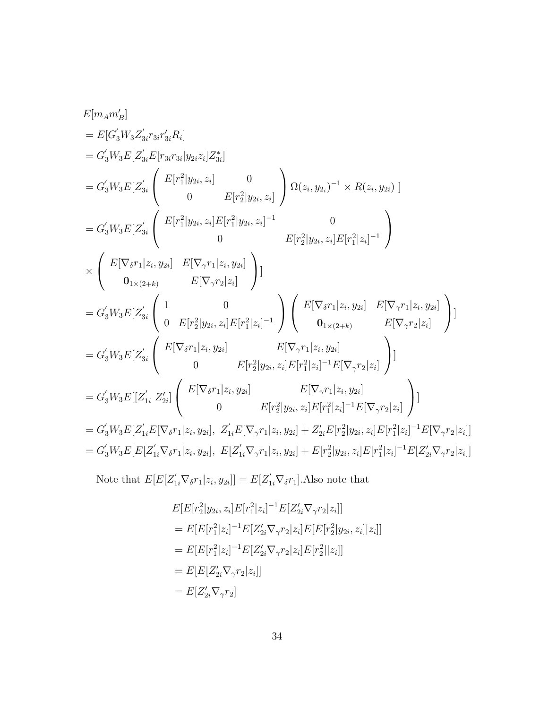$$
E[m_Am'_B]
$$
  
\n
$$
= E[G'_3W_3Z'_{3i}r_{3i}r'_3R_i]
$$
  
\n
$$
= G'_3W_3E[Z'_{3i}E[r_{3i}r_{3i}|y_{2i}z_i]Z^*_{3i}]
$$
  
\n
$$
= G'_3W_3E[Z'_{3i} \begin{pmatrix} E[r_1^2|y_{2i}, z_i] & 0 \\ 0 & E[r_2^2|y_{2i}, z_i] \end{pmatrix} \Omega(z_i, y_{2i})^{-1} \times R(z_i, y_{2i}) \end{pmatrix}
$$
  
\n
$$
= G'_3W_3E[Z'_{3i} \begin{pmatrix} E[r_1^2|y_{2i}, z_i]E[r_1^2|y_{2i}, z_i]^{-1} & 0 \\ 0 & E[r_2^2|y_{2i}, z_i]E[r_1^2|z_i]^{-1} \end{pmatrix}
$$
  
\n
$$
\times \begin{pmatrix} E[\nabla_{\delta}r_1|z_i, y_{2i}] & E[\nabla_{\gamma}r_1|z_i, y_{2i}] \\ 0_{1 \times (2+k)} & E[\nabla_{\gamma}r_2|z_i] \end{pmatrix}]
$$
  
\n
$$
= G'_3W_3E[Z'_{3i} \begin{pmatrix} 1 & 0 \\ 0 & E[r_2^2|y_{2i}, z_i]E[r_1^2|z_i]^{-1} \end{pmatrix} \begin{pmatrix} E[\nabla_{\delta}r_1|z_i, y_{2i}] & E[\nabla_{\gamma}r_1|z_i, y_{2i}] \\ 0_{1 \times (2+k)} & E[\nabla_{\gamma}r_2|z_i] \end{pmatrix}]
$$
  
\n
$$
= G'_3W_3E[Z'_{3i} \begin{pmatrix} E[\nabla_{\delta}r_1|z_i, y_{2i}] & E[\nabla_{\gamma}r_1|z_i, y_{2i}] \\ 0 & E[r_2^2|y_{2i}, z_i]E[r_1^2|z_i]^{-1}E[\nabla_{\gamma}r_2|z_i] \end{pmatrix}]
$$
  
\n
$$
= G'_3W_3E[[Z'_{1i} Z'_{2i}] \begin{pmatrix} E[\nabla_{\delta}r_1|z_i, y_{2i}] & E[\nabla_{\gamma}r_1
$$

Note that  $E[E[Z'_{1i}\nabla_{\delta}r_1|z_i,y_{2i}]] = E[Z'_{1i}\nabla_{\delta}r_1]$ . Also note that

$$
E[E[r_2^2|y_{2i}, z_i]E[r_1^2|z_i]^{-1}E[Z'_{2i}\nabla_\gamma r_2|z_i]]
$$
  
= 
$$
E[E[r_1^2|z_i]^{-1}E[Z'_{2i}\nabla_\gamma r_2|z_i]E[E[r_2^2|y_{2i}, z_i]|z_i]]
$$
  
= 
$$
E[E[r_1^2|z_i]^{-1}E[Z'_{2i}\nabla_\gamma r_2|z_i]E[r_2^2||z_i]]
$$
  
= 
$$
E[E[Z'_{2i}\nabla_\gamma r_2|z_i]]
$$
  
= 
$$
E[Z'_{2i}\nabla_\gamma r_2]
$$